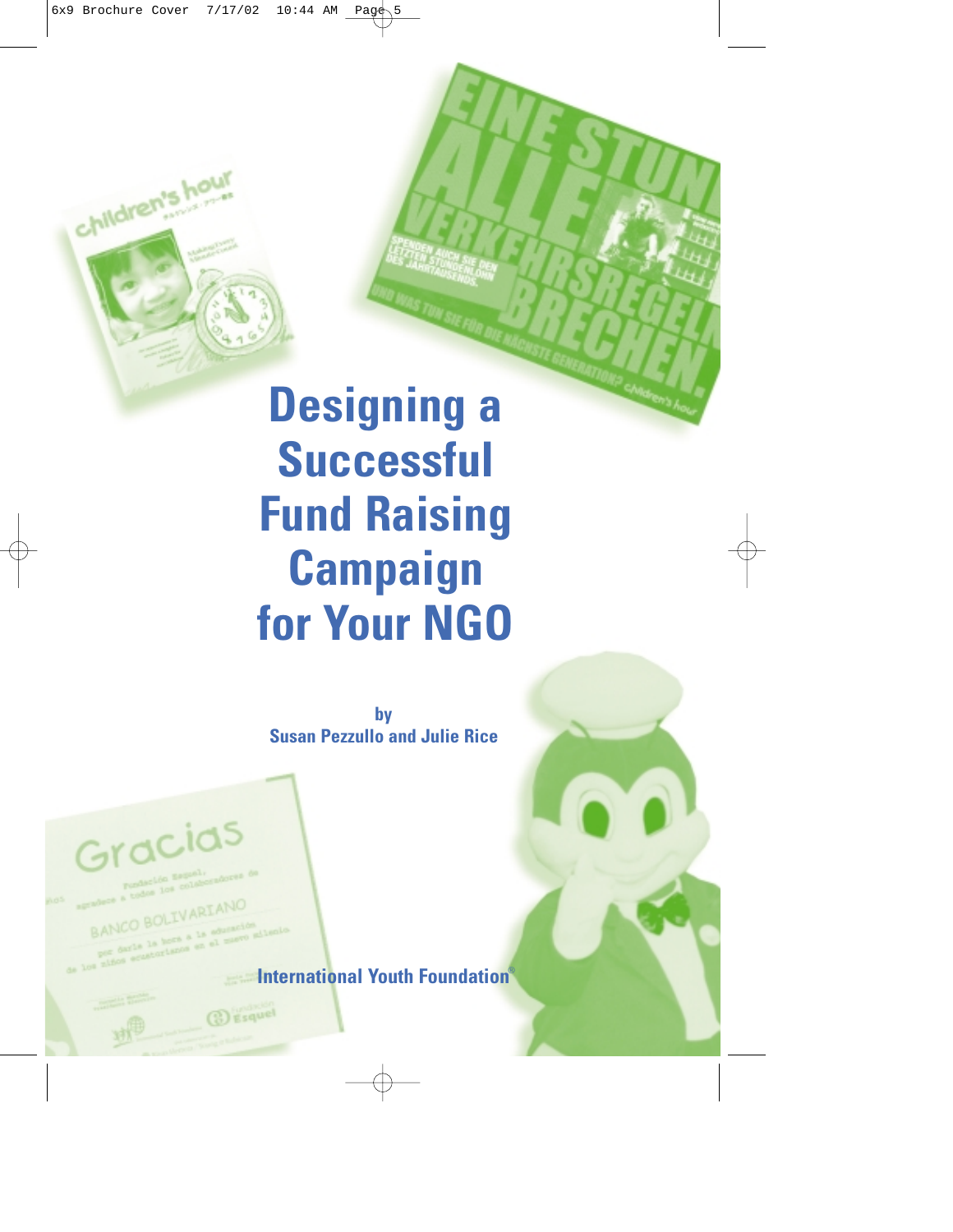# **Designing a Successful Fund Raising Campaign for Your NGO**

**by Susan Pezzullo and Julie Rice**

Gracias

children's h

BANCO BOLIVARIANO

**Esquel** 

**International Youth Foundation**®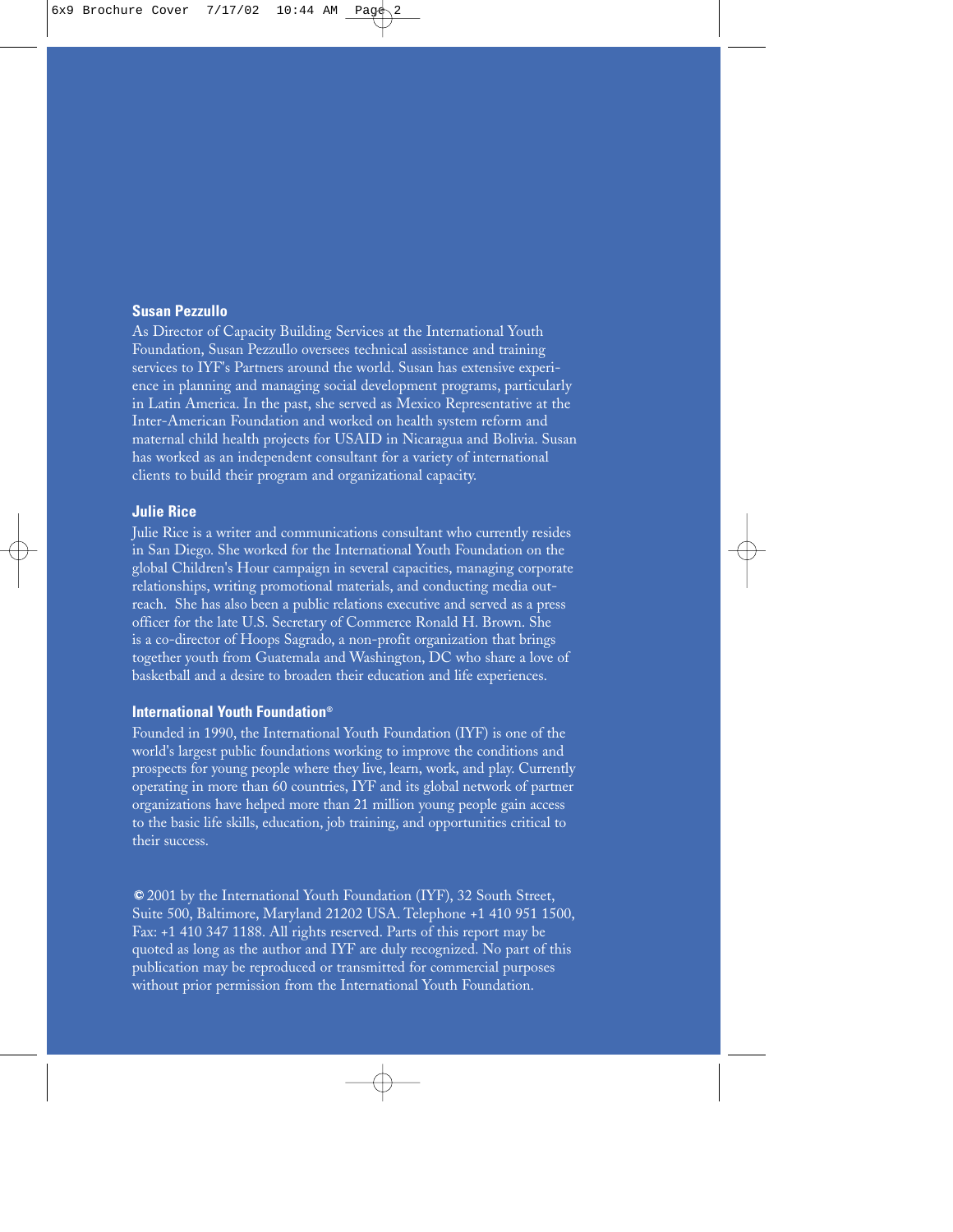#### **Susan Pezzullo**

As Director of Capacity Building Services at the International Youth Foundation, Susan Pezzullo oversees technical assistance and training services to IYF's Partners around the world. Susan has extensive experience in planning and managing social development programs, particularly in Latin America. In the past, she served as Mexico Representative at the Inter-American Foundation and worked on health system reform and maternal child health projects for USAID in Nicaragua and Bolivia. Susan has worked as an independent consultant for a variety of international clients to build their program and organizational capacity.

#### **Julie Rice**

Julie Rice is a writer and communications consultant who currently resides in San Diego. She worked for the International Youth Foundation on the global Children's Hour campaign in several capacities, managing corporate relationships, writing promotional materials, and conducting media outreach. She has also been a public relations executive and served as a press officer for the late U.S. Secretary of Commerce Ronald H. Brown. She is a co-director of Hoops Sagrado, a non-profit organization that brings together youth from Guatemala and Washington, DC who share a love of basketball and a desire to broaden their education and life experiences.

#### **International Youth Foundation®**

Founded in 1990, the International Youth Foundation (IYF) is one of the world's largest public foundations working to improve the conditions and prospects for young people where they live, learn, work, and play. Currently operating in more than 60 countries, IYF and its global network of partner organizations have helped more than 21 million young people gain access to the basic life skills, education, job training, and opportunities critical to their success.

2001 by the International Youth Foundation (IYF), 32 South Street, Suite 500, Baltimore, Maryland 21202 USA. Telephone +1 410 951 1500, Fax: +1 410 347 1188. All rights reserved. Parts of this report may be quoted as long as the author and IYF are duly recognized. No part of this publication may be reproduced or transmitted for commercial purposes without prior permission from the International Youth Foundation.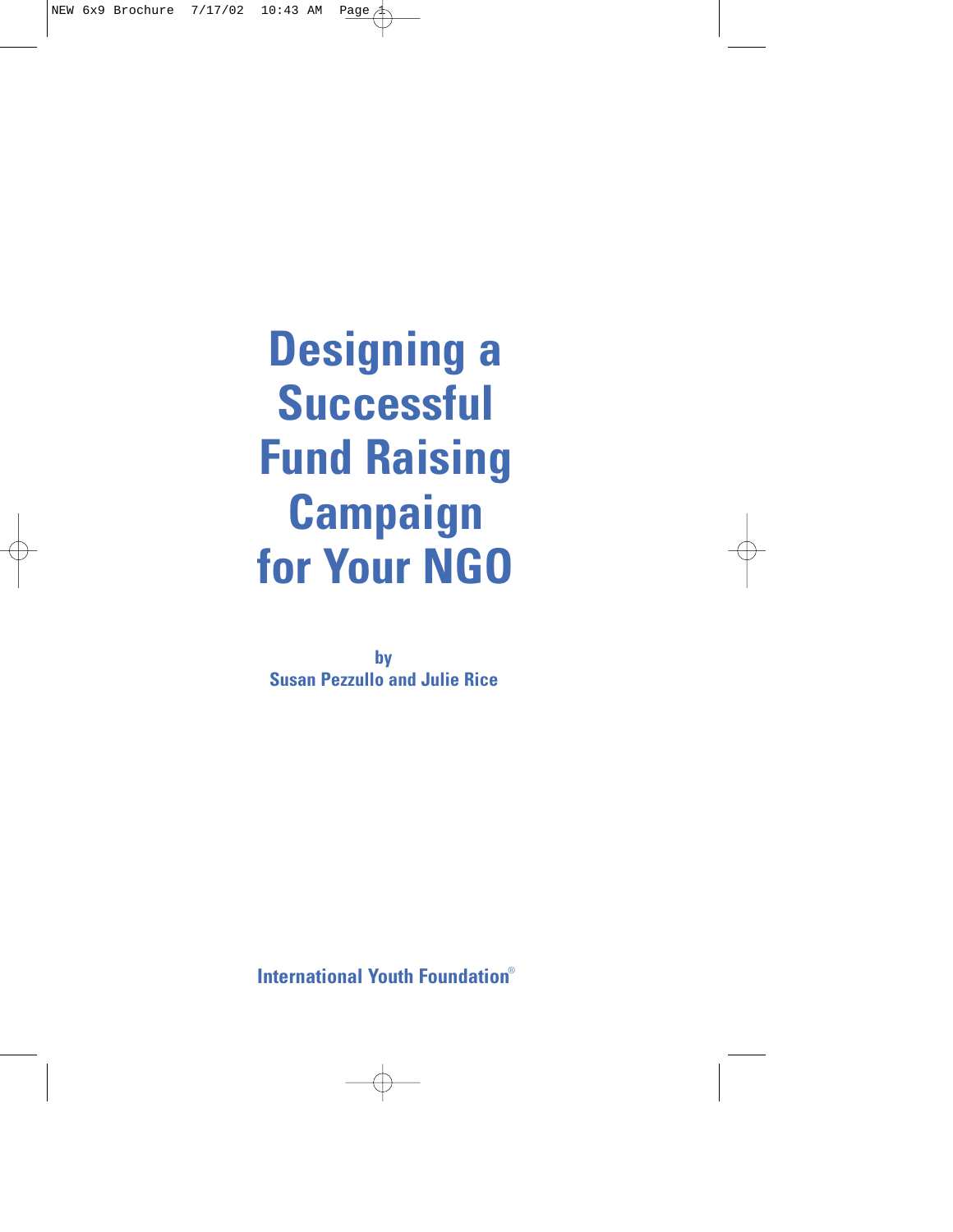**Designing a Successful Fund Raising Campaign for Your NGO**

**by Susan Pezzullo and Julie Rice**

**International Youth Foundation**®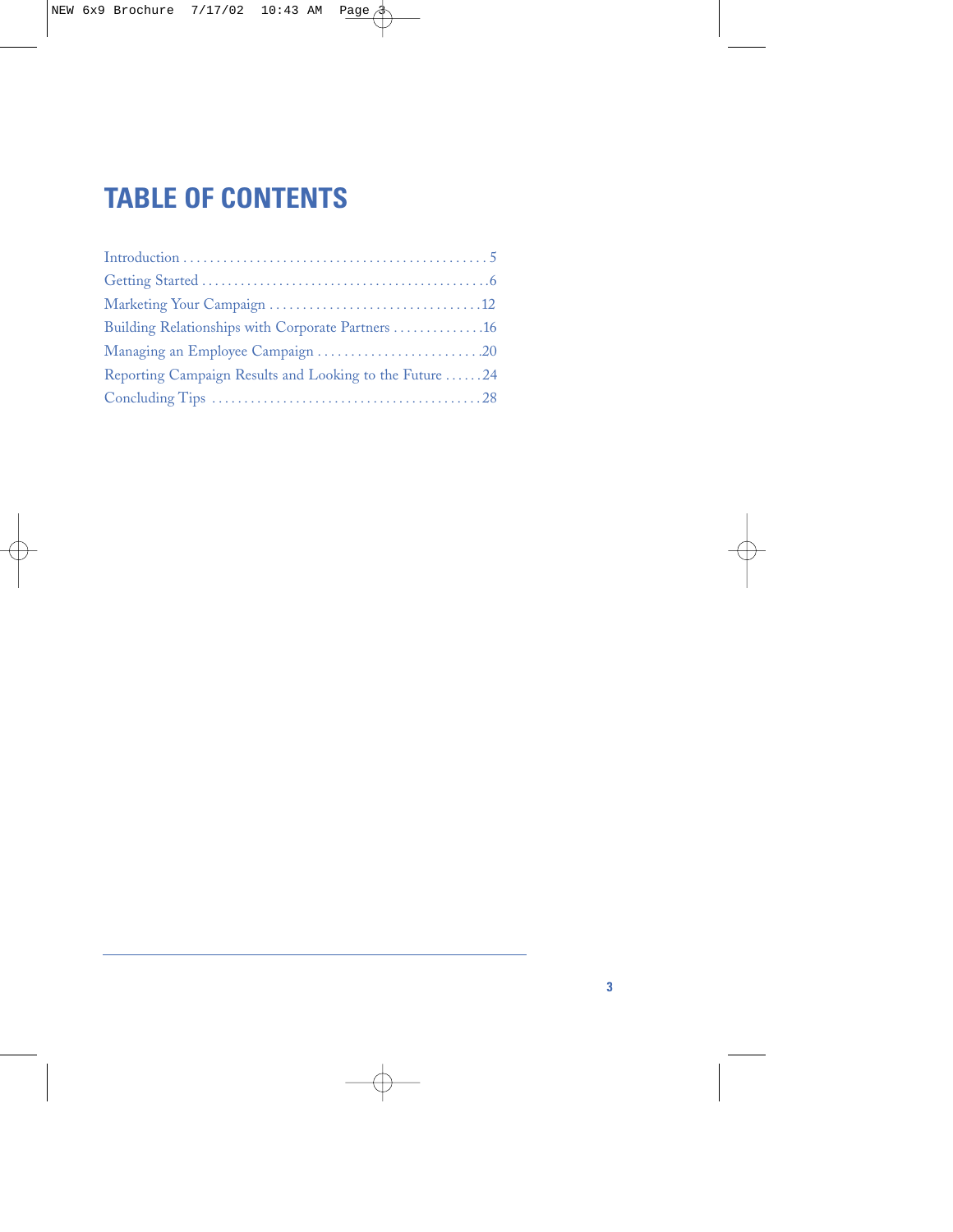# **TABLE OF CONTENTS**

| Building Relationships with Corporate Partners 16       |  |
|---------------------------------------------------------|--|
|                                                         |  |
| Reporting Campaign Results and Looking to the Future 24 |  |
|                                                         |  |
|                                                         |  |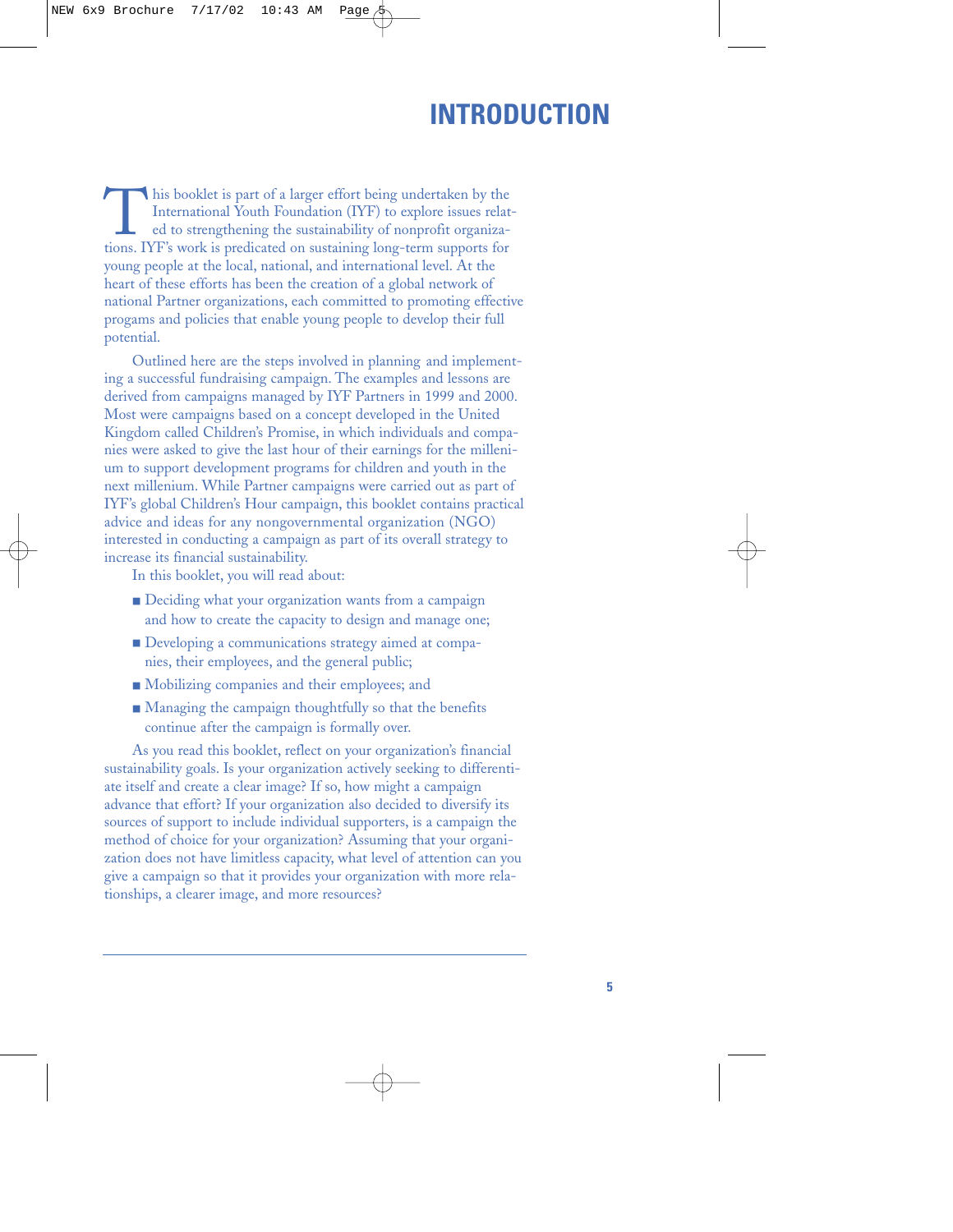# **INTRODUCTION**

This booklet is part of a larger effort being undertaken by the<br>International Youth Foundation (IYF) to explore issues related<br>to strengthening the sustainability of nonprofit organiza-<br>tions. IYF's work is predicated on s International Youth Foundation (IYF) to explore issues related to strengthening the sustainability of nonprofit organizayoung people at the local, national, and international level. At the heart of these efforts has been the creation of a global network of national Partner organizations, each committed to promoting effective progams and policies that enable young people to develop their full potential.

Outlined here are the steps involved in planning and implementing a successful fundraising campaign. The examples and lessons are derived from campaigns managed by IYF Partners in 1999 and 2000. Most were campaigns based on a concept developed in the United Kingdom called Children's Promise, in which individuals and companies were asked to give the last hour of their earnings for the millenium to support development programs for children and youth in the next millenium. While Partner campaigns were carried out as part of IYF's global Children's Hour campaign, this booklet contains practical advice and ideas for any nongovernmental organization (NGO) interested in conducting a campaign as part of its overall strategy to increase its financial sustainability.

In this booklet, you will read about:

- Deciding what your organization wants from a campaign and how to create the capacity to design and manage one;
- Developing a communications strategy aimed at companies, their employees, and the general public;
- Mobilizing companies and their employees; and
- Managing the campaign thoughtfully so that the benefits continue after the campaign is formally over.

As you read this booklet, reflect on your organization's financial sustainability goals. Is your organization actively seeking to differentiate itself and create a clear image? If so, how might a campaign advance that effort? If your organization also decided to diversify its sources of support to include individual supporters, is a campaign the method of choice for your organization? Assuming that your organization does not have limitless capacity, what level of attention can you give a campaign so that it provides your organization with more relationships, a clearer image, and more resources?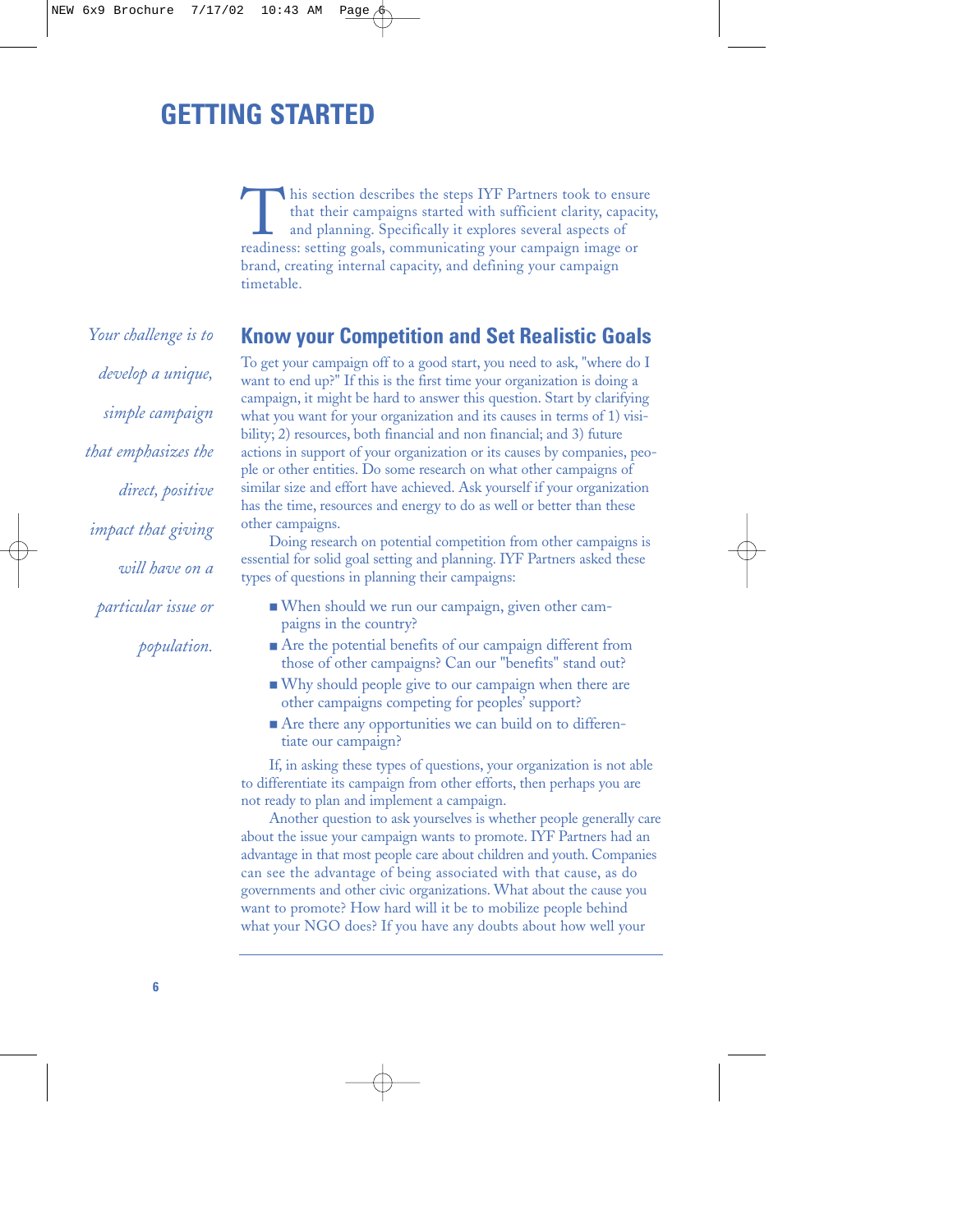# **GETTING STARTED**

This section describes the steps IYF Partners took to ensure<br>that their campaigns started with sufficient clarity, capacit<br>and planning. Specifically it explores several aspects of<br>readiness: setting goals, communicating y that their campaigns started with sufficient clarity, capacity, and planning. Specifically it explores several aspects of brand, creating internal capacity, and defining your campaign timetable.

*Your challenge is to develop a unique, simple campaign that emphasizes the direct, positive impact that giving will have on a particular issue or*

*population.*

### **Know your Competition and Set Realistic Goals**

To get your campaign off to a good start, you need to ask, "where do I want to end up?" If this is the first time your organization is doing a campaign, it might be hard to answer this question. Start by clarifying what you want for your organization and its causes in terms of 1) visibility; 2) resources, both financial and non financial; and 3) future actions in support of your organization or its causes by companies, people or other entities. Do some research on what other campaigns of similar size and effort have achieved. Ask yourself if your organization has the time, resources and energy to do as well or better than these other campaigns.

Doing research on potential competition from other campaigns is essential for solid goal setting and planning. IYF Partners asked these types of questions in planning their campaigns:

- When should we run our campaign, given other campaigns in the country?
- Are the potential benefits of our campaign different from those of other campaigns? Can our "benefits" stand out?
- Why should people give to our campaign when there are other campaigns competing for peoples' support?
- Are there any opportunities we can build on to differentiate our campaign?

If, in asking these types of questions, your organization is not able to differentiate its campaign from other efforts, then perhaps you are not ready to plan and implement a campaign.

Another question to ask yourselves is whether people generally care about the issue your campaign wants to promote. IYF Partners had an advantage in that most people care about children and youth. Companies can see the advantage of being associated with that cause, as do governments and other civic organizations. What about the cause you want to promote? How hard will it be to mobilize people behind what your NGO does? If you have any doubts about how well your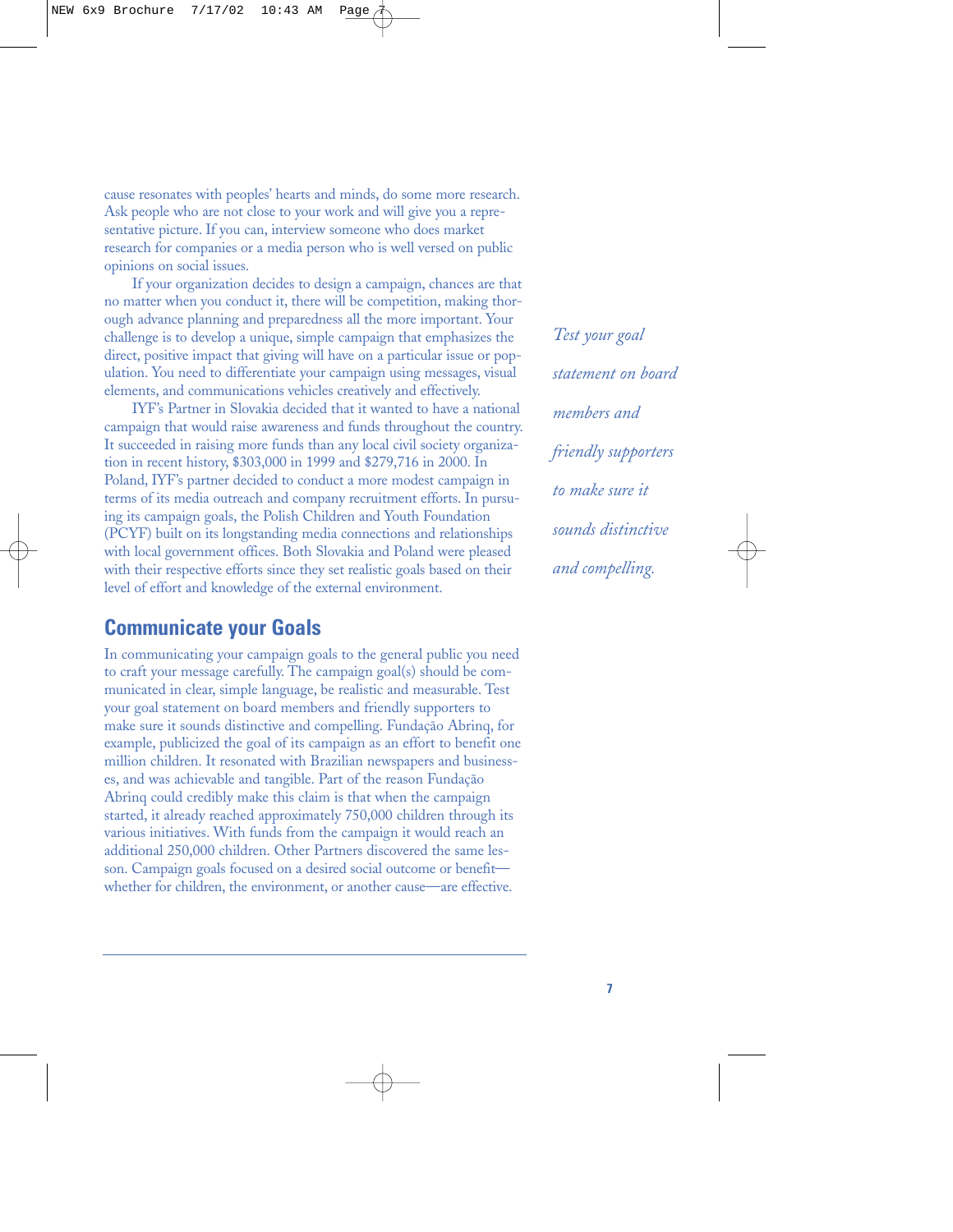cause resonates with peoples' hearts and minds, do some more research. Ask people who are not close to your work and will give you a representative picture. If you can, interview someone who does market research for companies or a media person who is well versed on public opinions on social issues.

If your organization decides to design a campaign, chances are that no matter when you conduct it, there will be competition, making thorough advance planning and preparedness all the more important. Your challenge is to develop a unique, simple campaign that emphasizes the direct, positive impact that giving will have on a particular issue or population. You need to differentiate your campaign using messages, visual elements, and communications vehicles creatively and effectively.

IYF's Partner in Slovakia decided that it wanted to have a national campaign that would raise awareness and funds throughout the country. It succeeded in raising more funds than any local civil society organization in recent history, \$303,000 in 1999 and \$279,716 in 2000. In Poland, IYF's partner decided to conduct a more modest campaign in terms of its media outreach and company recruitment efforts. In pursuing its campaign goals, the Polish Children and Youth Foundation (PCYF) built on its longstanding media connections and relationships with local government offices. Both Slovakia and Poland were pleased with their respective efforts since they set realistic goals based on their level of effort and knowledge of the external environment.

## **Communicate your Goals**

In communicating your campaign goals to the general public you need to craft your message carefully. The campaign goal(s) should be communicated in clear, simple language, be realistic and measurable. Test your goal statement on board members and friendly supporters to make sure it sounds distinctive and compelling. Fundação Abrinq, for example, publicized the goal of its campaign as an effort to benefit one million children. It resonated with Brazilian newspapers and businesses, and was achievable and tangible. Part of the reason Fundação Abrinq could credibly make this claim is that when the campaign started, it already reached approximately 750,000 children through its various initiatives. With funds from the campaign it would reach an additional 250,000 children. Other Partners discovered the same lesson. Campaign goals focused on a desired social outcome or benefit whether for children, the environment, or another cause—are effective.

*Test your goal statement on board members and friendly supporters to make sure it sounds distinctive and compelling.*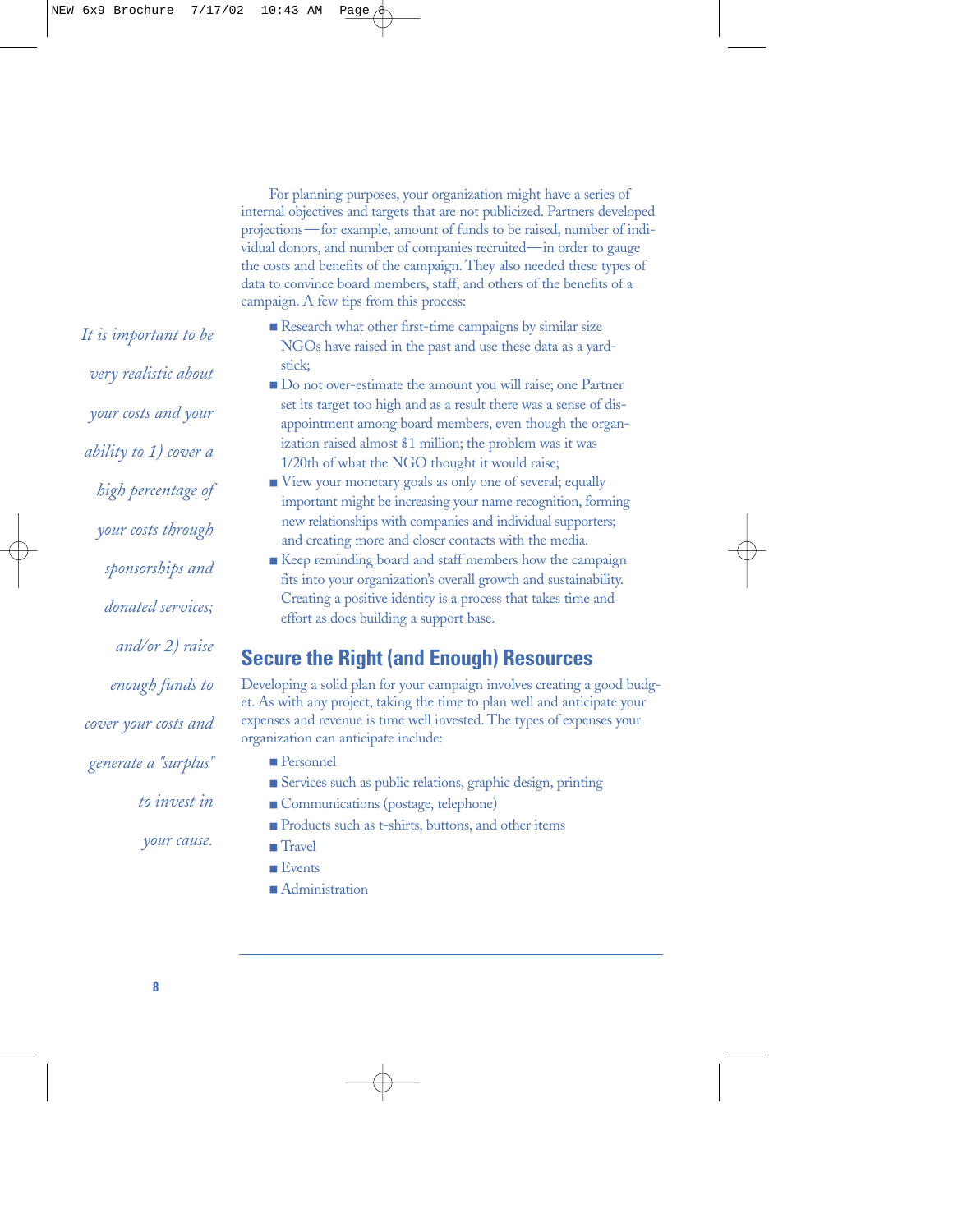For planning purposes, your organization might have a series of internal objectives and targets that are not publicized. Partners developed projections—for example, amount of funds to be raised, number of individual donors, and number of companies recruited—in order to gauge the costs and benefits of the campaign. They also needed these types of data to convince board members, staff, and others of the benefits of a campaign. A few tips from this process:

- Research what other first-time campaigns by similar size NGOs have raised in the past and use these data as a yardstick;
- Do not over-estimate the amount you will raise; one Partner set its target too high and as a result there was a sense of disappointment among board members, even though the organization raised almost \$1 million; the problem was it was 1/20th of what the NGO thought it would raise;
- View your monetary goals as only one of several; equally important might be increasing your name recognition, forming new relationships with companies and individual supporters; and creating more and closer contacts with the media.
- Keep reminding board and staff members how the campaign fits into your organization's overall growth and sustainability. Creating a positive identity is a process that takes time and effort as does building a support base.

# **Secure the Right (and Enough) Resources**

Developing a solid plan for your campaign involves creating a good budget. As with any project, taking the time to plan well and anticipate your expenses and revenue is time well invested. The types of expenses your organization can anticipate include:

- Personnel
- Services such as public relations, graphic design, printing
- Communications (postage, telephone)
- Products such as t-shirts, buttons, and other items
- Travel
- Events
- Administration

*It is important to be very realistic about your costs and your ability to 1) cover a high percentage of your costs through sponsorships and donated services; and/or 2) raise enough funds to cover your costs and generate a "surplus" to invest in your cause.*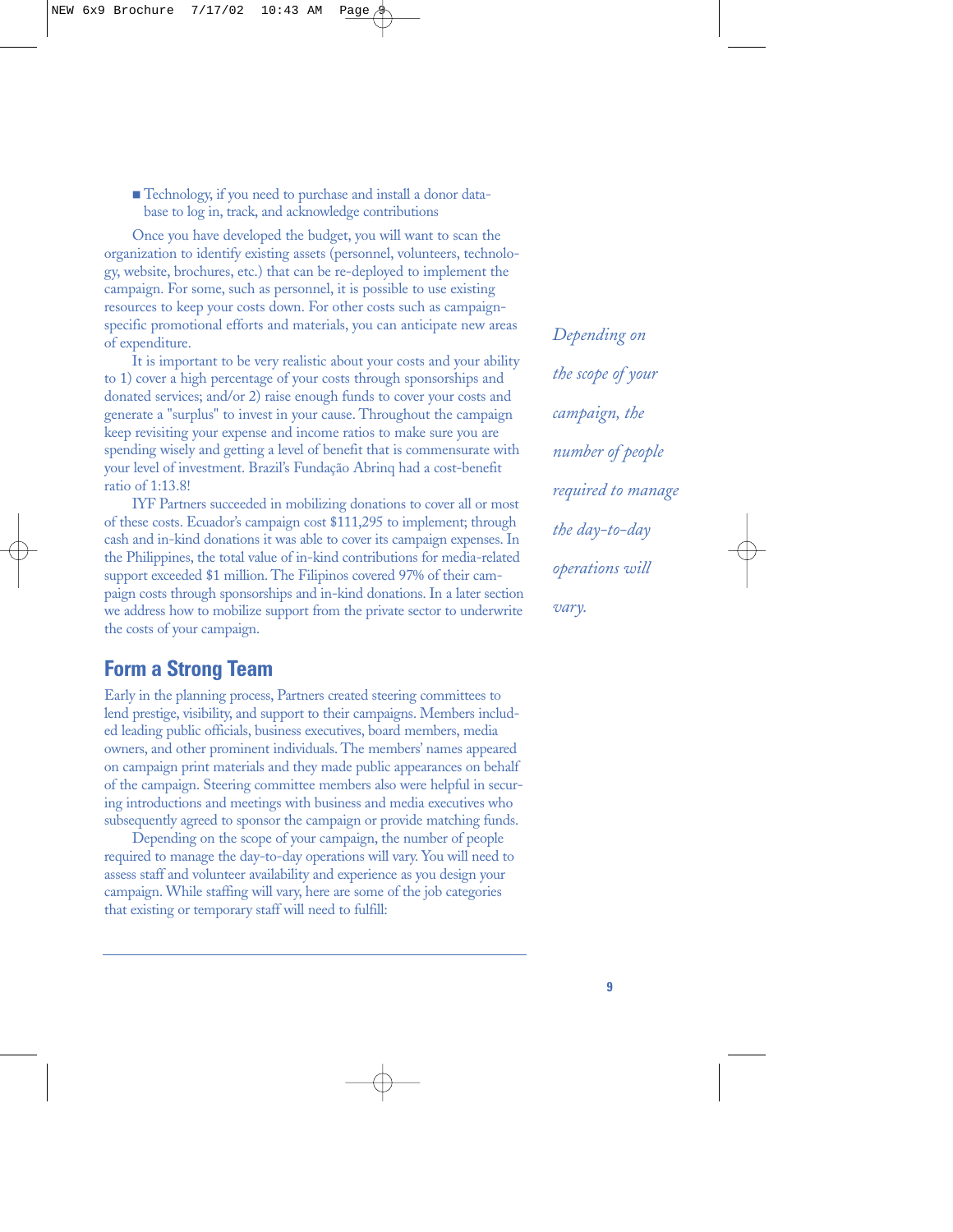■ Technology, if you need to purchase and install a donor database to log in, track, and acknowledge contributions

Once you have developed the budget, you will want to scan the organization to identify existing assets (personnel, volunteers, technology, website, brochures, etc.) that can be re-deployed to implement the campaign. For some, such as personnel, it is possible to use existing resources to keep your costs down. For other costs such as campaignspecific promotional efforts and materials, you can anticipate new areas of expenditure.

It is important to be very realistic about your costs and your ability to 1) cover a high percentage of your costs through sponsorships and donated services; and/or 2) raise enough funds to cover your costs and generate a "surplus" to invest in your cause. Throughout the campaign keep revisiting your expense and income ratios to make sure you are spending wisely and getting a level of benefit that is commensurate with your level of investment. Brazil's Fundação Abrinq had a cost-benefit ratio of 1:13.8!

IYF Partners succeeded in mobilizing donations to cover all or most of these costs. Ecuador's campaign cost \$111,295 to implement; through cash and in-kind donations it was able to cover its campaign expenses. In the Philippines, the total value of in-kind contributions for media-related support exceeded \$1 million. The Filipinos covered 97% of their campaign costs through sponsorships and in-kind donations. In a later section we address how to mobilize support from the private sector to underwrite the costs of your campaign.

### **Form a Strong Team**

Early in the planning process, Partners created steering committees to lend prestige, visibility, and support to their campaigns. Members included leading public officials, business executives, board members, media owners, and other prominent individuals. The members' names appeared on campaign print materials and they made public appearances on behalf of the campaign. Steering committee members also were helpful in securing introductions and meetings with business and media executives who subsequently agreed to sponsor the campaign or provide matching funds.

Depending on the scope of your campaign, the number of people required to manage the day-to-day operations will vary. You will need to assess staff and volunteer availability and experience as you design your campaign. While staffing will vary, here are some of the job categories that existing or temporary staff will need to fulfill:

*Depending on the scope of your campaign, the number of people required to manage the day-to-day operations will vary.*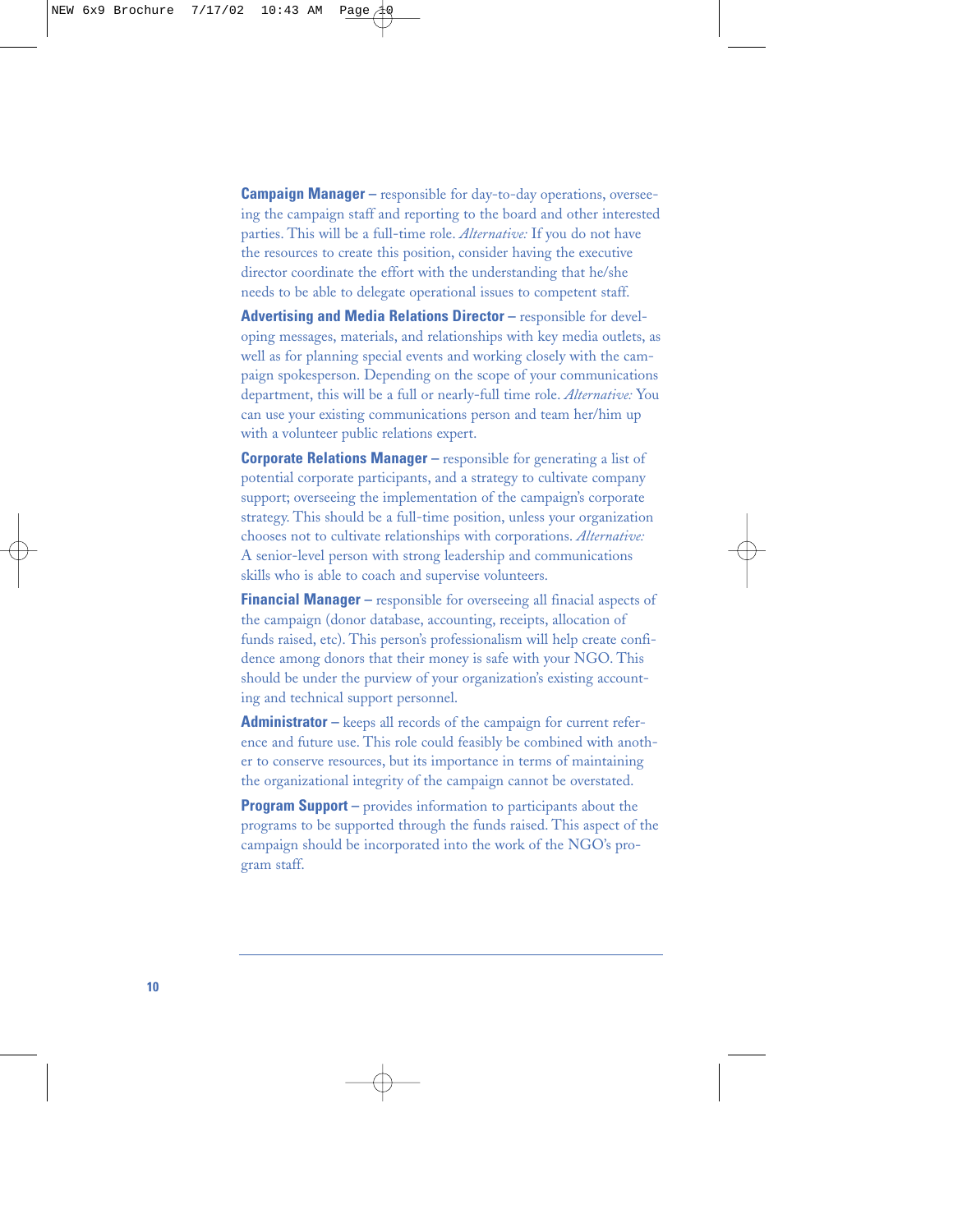**Campaign Manager –** responsible for day-to-day operations, overseeing the campaign staff and reporting to the board and other interested parties. This will be a full-time role. *Alternative:* If you do not have the resources to create this position, consider having the executive director coordinate the effort with the understanding that he/she needs to be able to delegate operational issues to competent staff.

**Advertising and Media Relations Director** – responsible for developing messages, materials, and relationships with key media outlets, as well as for planning special events and working closely with the campaign spokesperson. Depending on the scope of your communications department, this will be a full or nearly-full time role. *Alternative:* You can use your existing communications person and team her/him up with a volunteer public relations expert.

**Corporate Relations Manager** – responsible for generating a list of potential corporate participants, and a strategy to cultivate company support; overseeing the implementation of the campaign's corporate strategy. This should be a full-time position, unless your organization chooses not to cultivate relationships with corporations. *Alternative:* A senior-level person with strong leadership and communications skills who is able to coach and supervise volunteers.

**Financial Manager –** responsible for overseeing all finacial aspects of the campaign (donor database, accounting, receipts, allocation of funds raised, etc). This person's professionalism will help create confidence among donors that their money is safe with your NGO. This should be under the purview of your organization's existing accounting and technical support personnel.

**Administrator –** keeps all records of the campaign for current reference and future use. This role could feasibly be combined with another to conserve resources, but its importance in terms of maintaining the organizational integrity of the campaign cannot be overstated.

**Program Support** – provides information to participants about the programs to be supported through the funds raised. This aspect of the campaign should be incorporated into the work of the NGO's program staff.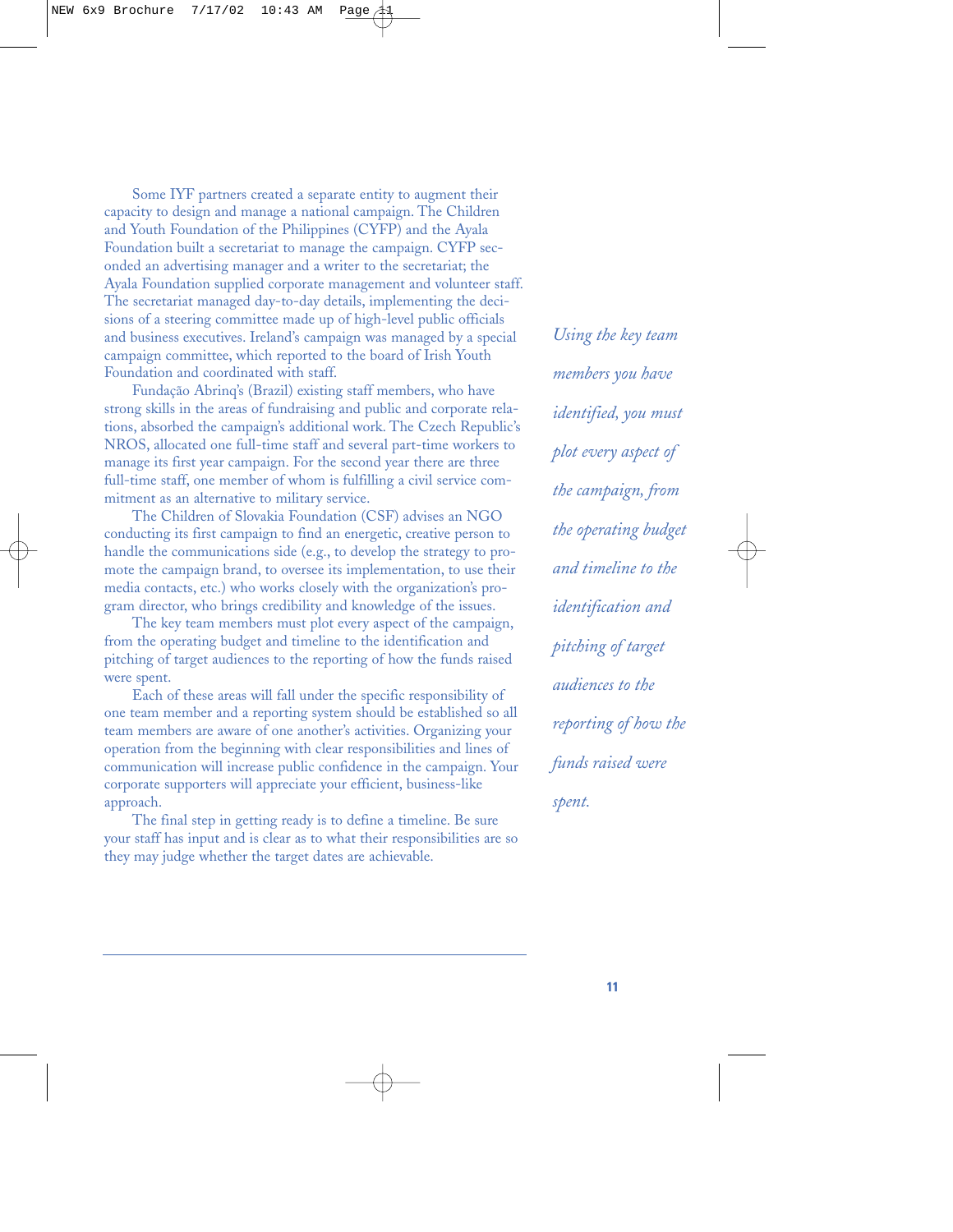Some IYF partners created a separate entity to augment their capacity to design and manage a national campaign. The Children and Youth Foundation of the Philippines (CYFP) and the Ayala Foundation built a secretariat to manage the campaign. CYFP seconded an advertising manager and a writer to the secretariat; the Ayala Foundation supplied corporate management and volunteer staff. The secretariat managed day-to-day details, implementing the decisions of a steering committee made up of high-level public officials and business executives. Ireland's campaign was managed by a special campaign committee, which reported to the board of Irish Youth Foundation and coordinated with staff.

Fundação Abrinq's (Brazil) existing staff members, who have strong skills in the areas of fundraising and public and corporate relations, absorbed the campaign's additional work. The Czech Republic's NROS, allocated one full-time staff and several part-time workers to manage its first year campaign. For the second year there are three full-time staff, one member of whom is fulfilling a civil service commitment as an alternative to military service.

The Children of Slovakia Foundation (CSF) advises an NGO conducting its first campaign to find an energetic, creative person to handle the communications side (e.g., to develop the strategy to promote the campaign brand, to oversee its implementation, to use their media contacts, etc.) who works closely with the organization's program director, who brings credibility and knowledge of the issues.

The key team members must plot every aspect of the campaign, from the operating budget and timeline to the identification and pitching of target audiences to the reporting of how the funds raised were spent.

Each of these areas will fall under the specific responsibility of one team member and a reporting system should be established so all team members are aware of one another's activities. Organizing your operation from the beginning with clear responsibilities and lines of communication will increase public confidence in the campaign. Your corporate supporters will appreciate your efficient, business-like approach.

The final step in getting ready is to define a timeline. Be sure your staff has input and is clear as to what their responsibilities are so they may judge whether the target dates are achievable.

*Using the key team members you have identified, you must plot every aspect of the campaign, from the operating budget and timeline to the identification and pitching of target audiences to the reporting of how the funds raised were spent.*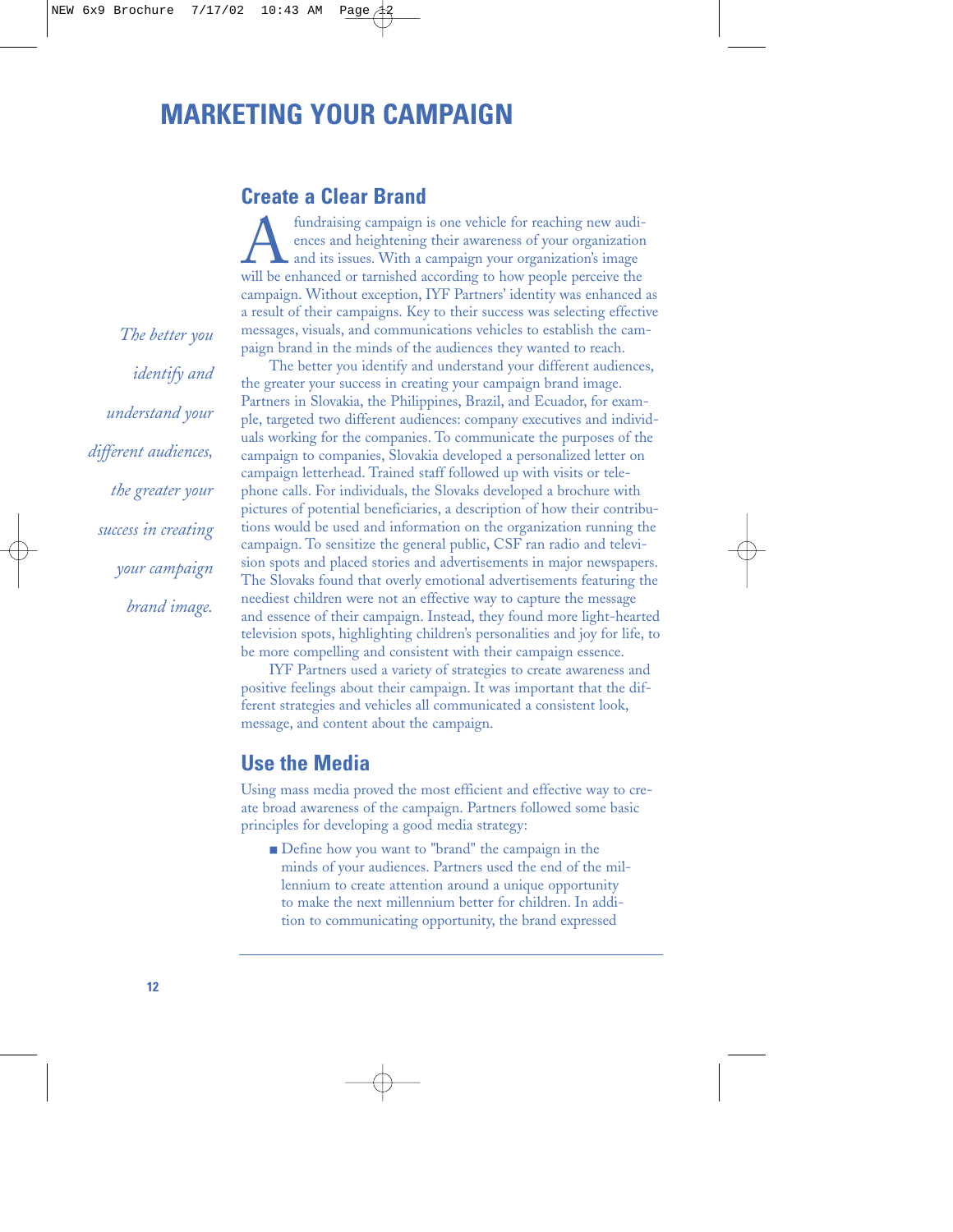# **MARKETING YOUR CAMPAIGN**

### **Create a Clear Brand**

fundraising campaign is one vehicle for reaching new audi-<br>ences and heightening their awareness of your organization<br>and its issues. With a campaign your organization's image<br>will be enhanced or tarnished according to how ences and heightening their awareness of your organization and its issues. With a campaign your organization's image will be enhanced or tarnished according to how people perceive the campaign. Without exception, IYF Partners' identity was enhanced as a result of their campaigns. Key to their success was selecting effective messages, visuals, and communications vehicles to establish the campaign brand in the minds of the audiences they wanted to reach.

The better you identify and understand your different audiences, the greater your success in creating your campaign brand image. Partners in Slovakia, the Philippines, Brazil, and Ecuador, for example, targeted two different audiences: company executives and individuals working for the companies. To communicate the purposes of the campaign to companies, Slovakia developed a personalized letter on campaign letterhead. Trained staff followed up with visits or telephone calls. For individuals, the Slovaks developed a brochure with pictures of potential beneficiaries, a description of how their contributions would be used and information on the organization running the campaign. To sensitize the general public, CSF ran radio and television spots and placed stories and advertisements in major newspapers. The Slovaks found that overly emotional advertisements featuring the neediest children were not an effective way to capture the message and essence of their campaign. Instead, they found more light-hearted television spots, highlighting children's personalities and joy for life, to be more compelling and consistent with their campaign essence.

IYF Partners used a variety of strategies to create awareness and positive feelings about their campaign. It was important that the different strategies and vehicles all communicated a consistent look, message, and content about the campaign.

### **Use the Media**

Using mass media proved the most efficient and effective way to create broad awareness of the campaign. Partners followed some basic principles for developing a good media strategy:

■ Define how you want to "brand" the campaign in the minds of your audiences. Partners used the end of the millennium to create attention around a unique opportunity to make the next millennium better for children. In addition to communicating opportunity, the brand expressed

*The better you identify and understand your different audiences, the greater your success in creating your campaign brand image.*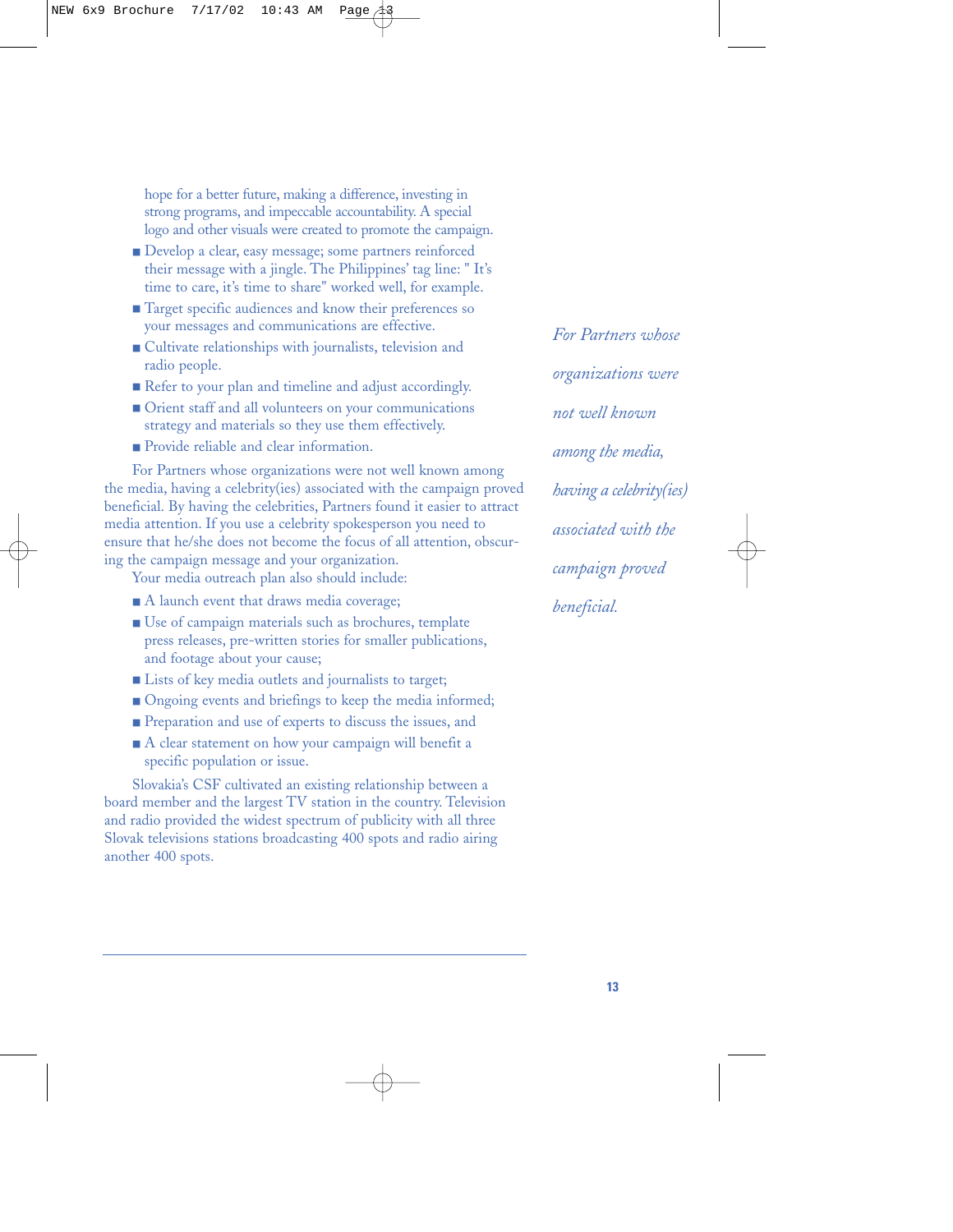hope for a better future, making a difference, investing in strong programs, and impeccable accountability. A special logo and other visuals were created to promote the campaign.

- Develop a clear, easy message; some partners reinforced their message with a jingle. The Philippines' tag line: " It's time to care, it's time to share" worked well, for example.
- Target specific audiences and know their preferences so your messages and communications are effective.
- Cultivate relationships with journalists, television and radio people.
- Refer to your plan and timeline and adjust accordingly.
- Orient staff and all volunteers on your communications strategy and materials so they use them effectively.
- Provide reliable and clear information.

For Partners whose organizations were not well known among the media, having a celebrity(ies) associated with the campaign proved beneficial. By having the celebrities, Partners found it easier to attract media attention. If you use a celebrity spokesperson you need to ensure that he/she does not become the focus of all attention, obscuring the campaign message and your organization.

Your media outreach plan also should include:

- A launch event that draws media coverage;
- Use of campaign materials such as brochures, template press releases, pre-written stories for smaller publications, and footage about your cause;
- Lists of key media outlets and journalists to target;
- Ongoing events and briefings to keep the media informed;
- Preparation and use of experts to discuss the issues, and
- A clear statement on how your campaign will benefit a specific population or issue.

Slovakia's CSF cultivated an existing relationship between a board member and the largest TV station in the country. Television and radio provided the widest spectrum of publicity with all three Slovak televisions stations broadcasting 400 spots and radio airing another 400 spots.

*For Partners whose organizations were not well known among the media, having a celebrity(ies) associated with the campaign proved beneficial.*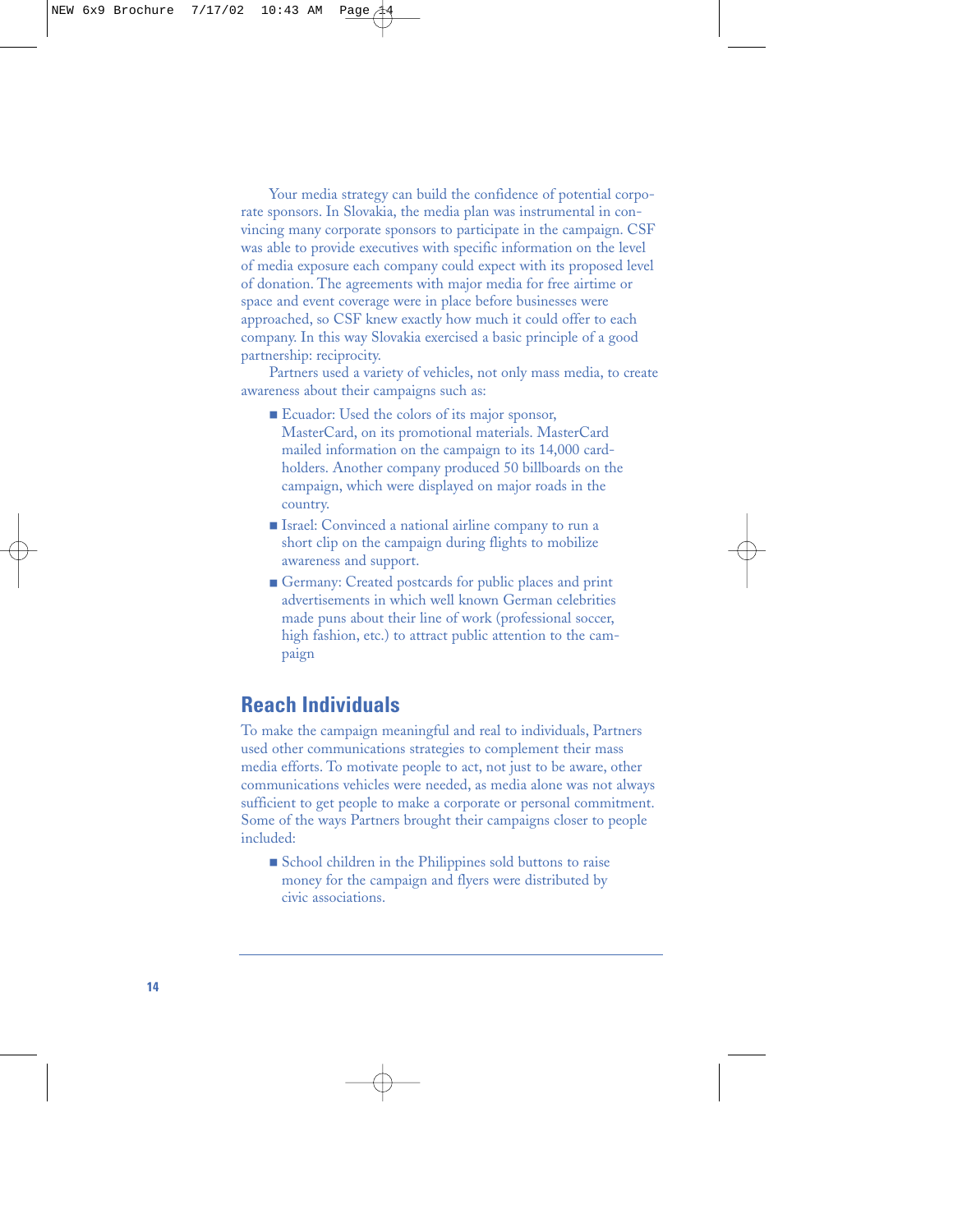Your media strategy can build the confidence of potential corporate sponsors. In Slovakia, the media plan was instrumental in convincing many corporate sponsors to participate in the campaign. CSF was able to provide executives with specific information on the level of media exposure each company could expect with its proposed level of donation. The agreements with major media for free airtime or space and event coverage were in place before businesses were approached, so CSF knew exactly how much it could offer to each company. In this way Slovakia exercised a basic principle of a good partnership: reciprocity.

Partners used a variety of vehicles, not only mass media, to create awareness about their campaigns such as:

- Ecuador: Used the colors of its major sponsor, MasterCard, on its promotional materials. MasterCard mailed information on the campaign to its 14,000 cardholders. Another company produced 50 billboards on the campaign, which were displayed on major roads in the country.
- Israel: Convinced a national airline company to run a short clip on the campaign during flights to mobilize awareness and support.
- Germany: Created postcards for public places and print advertisements in which well known German celebrities made puns about their line of work (professional soccer, high fashion, etc.) to attract public attention to the campaign

# **Reach Individuals**

To make the campaign meaningful and real to individuals, Partners used other communications strategies to complement their mass media efforts. To motivate people to act, not just to be aware, other communications vehicles were needed, as media alone was not always sufficient to get people to make a corporate or personal commitment. Some of the ways Partners brought their campaigns closer to people included:

■ School children in the Philippines sold buttons to raise money for the campaign and flyers were distributed by civic associations.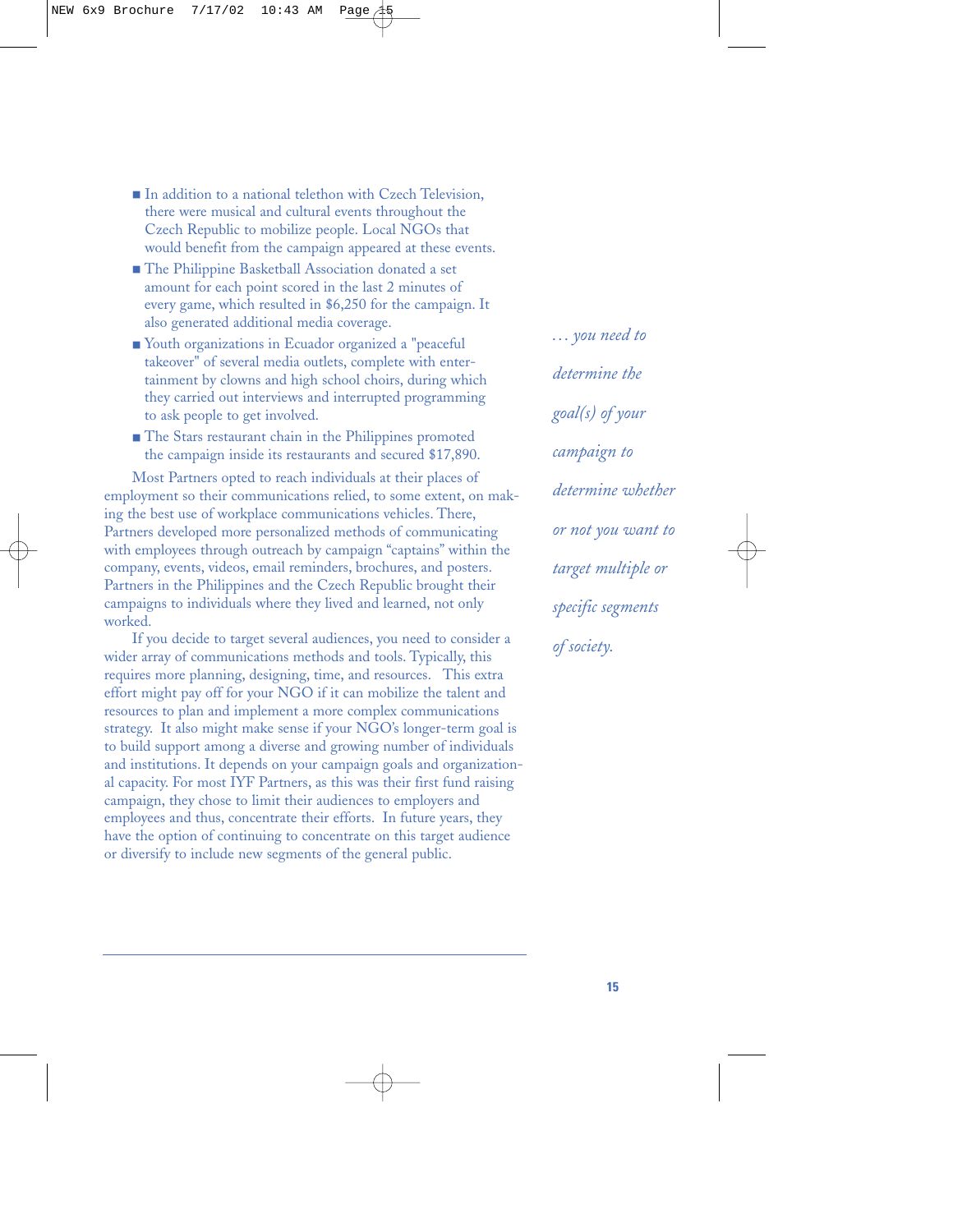- In addition to a national telethon with Czech Television, there were musical and cultural events throughout the Czech Republic to mobilize people. Local NGOs that would benefit from the campaign appeared at these events.
- The Philippine Basketball Association donated a set amount for each point scored in the last 2 minutes of every game, which resulted in \$6,250 for the campaign. It also generated additional media coverage.
- Youth organizations in Ecuador organized a "peaceful" takeover" of several media outlets, complete with entertainment by clowns and high school choirs, during which they carried out interviews and interrupted programming to ask people to get involved.
- The Stars restaurant chain in the Philippines promoted the campaign inside its restaurants and secured \$17,890.

Most Partners opted to reach individuals at their places of employment so their communications relied, to some extent, on making the best use of workplace communications vehicles. There, Partners developed more personalized methods of communicating with employees through outreach by campaign "captains" within the company, events, videos, email reminders, brochures, and posters. Partners in the Philippines and the Czech Republic brought their campaigns to individuals where they lived and learned, not only worked.

If you decide to target several audiences, you need to consider a wider array of communications methods and tools. Typically, this requires more planning, designing, time, and resources. This extra effort might pay off for your NGO if it can mobilize the talent and resources to plan and implement a more complex communications strategy. It also might make sense if your NGO's longer-term goal is to build support among a diverse and growing number of individuals and institutions. It depends on your campaign goals and organizational capacity. For most IYF Partners, as this was their first fund raising campaign, they chose to limit their audiences to employers and employees and thus, concentrate their efforts. In future years, they have the option of continuing to concentrate on this target audience or diversify to include new segments of the general public.

*... you need to determine the goal(s) of your campaign to determine whether or not you want to target multiple or specific segments of society.*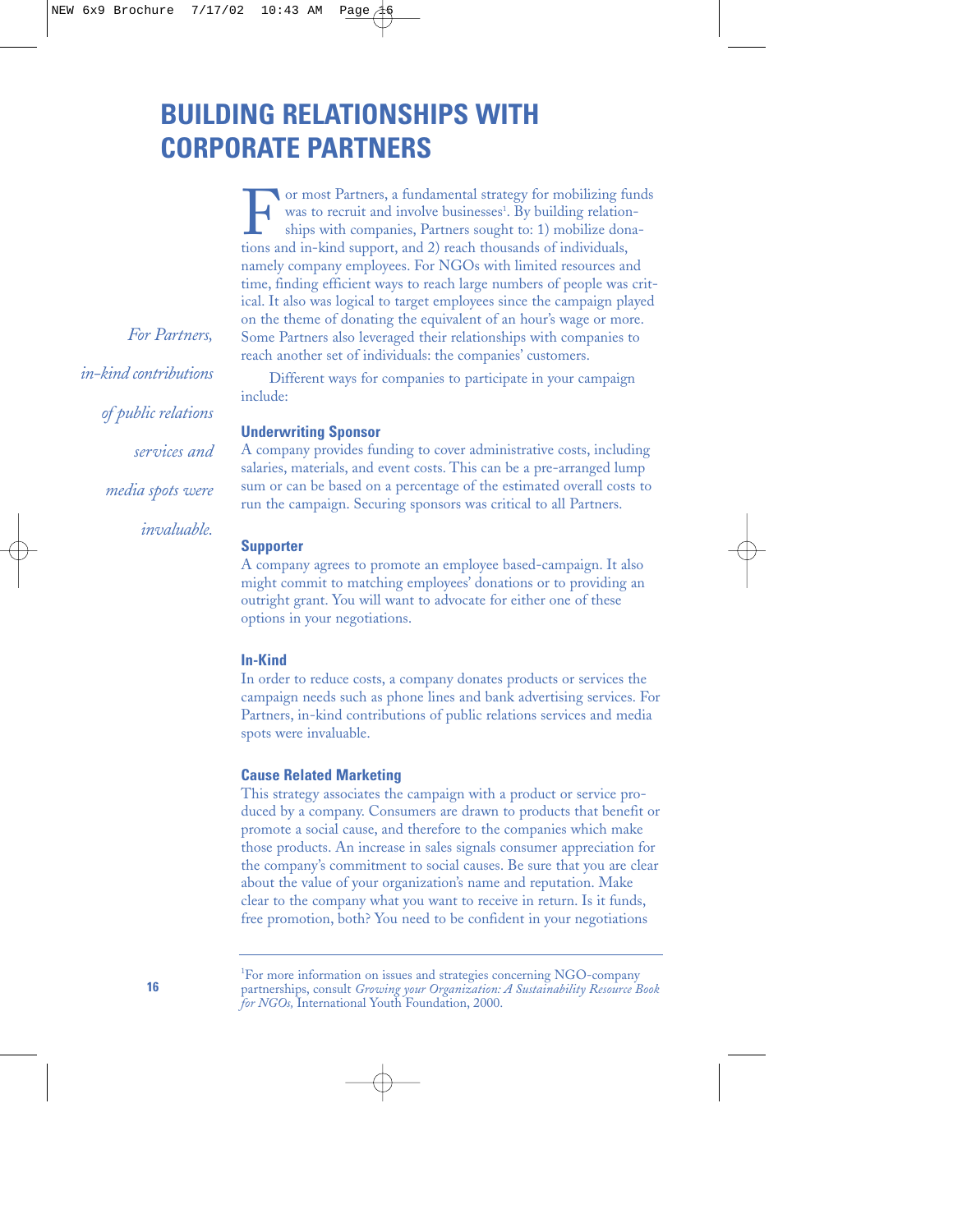# **BUILDING RELATIONSHIPS WITH CORPORATE PARTNERS**

For most Partners, a fundamental strategy for mobilizing funds<br>was to recruit and involve businesses<sup>1</sup>. By building relation-<br>ships with companies, Partners sought to: 1) mobilize dona-<br>tions and in-kind support, and 2) r was to recruit and involve businesses<sup>1</sup>. By building relationships with companies, Partners sought to: 1) mobilize donations and in-kind support, and 2) reach thousands of individuals, namely company employees. For NGOs with limited resources and time, finding efficient ways to reach large numbers of people was critical. It also was logical to target employees since the campaign played on the theme of donating the equivalent of an hour's wage or more. Some Partners also leveraged their relationships with companies to reach another set of individuals: the companies' customers.

Different ways for companies to participate in your campaign include:

#### **Underwriting Sponsor**

A company provides funding to cover administrative costs, including salaries, materials, and event costs. This can be a pre-arranged lump sum or can be based on a percentage of the estimated overall costs to run the campaign. Securing sponsors was critical to all Partners.

#### **Supporter**

A company agrees to promote an employee based-campaign. It also might commit to matching employees' donations or to providing an outright grant. You will want to advocate for either one of these options in your negotiations.

#### **In-Kind**

In order to reduce costs, a company donates products or services the campaign needs such as phone lines and bank advertising services. For Partners, in-kind contributions of public relations services and media spots were invaluable.

#### **Cause Related Marketing**

This strategy associates the campaign with a product or service produced by a company. Consumers are drawn to products that benefit or promote a social cause, and therefore to the companies which make those products. An increase in sales signals consumer appreciation for the company's commitment to social causes. Be sure that you are clear about the value of your organization's name and reputation. Make clear to the company what you want to receive in return. Is it funds, free promotion, both? You need to be confident in your negotiations

*For Partners, in-kind contributions of public relations services and media spots were invaluable.*

<sup>&</sup>lt;sup>1</sup>For more information on issues and strategies concerning NGO-company partnerships, consult *Growing your Organization: A Sustainability Resource Book for NGOs,* International Youth Foundation, 2000.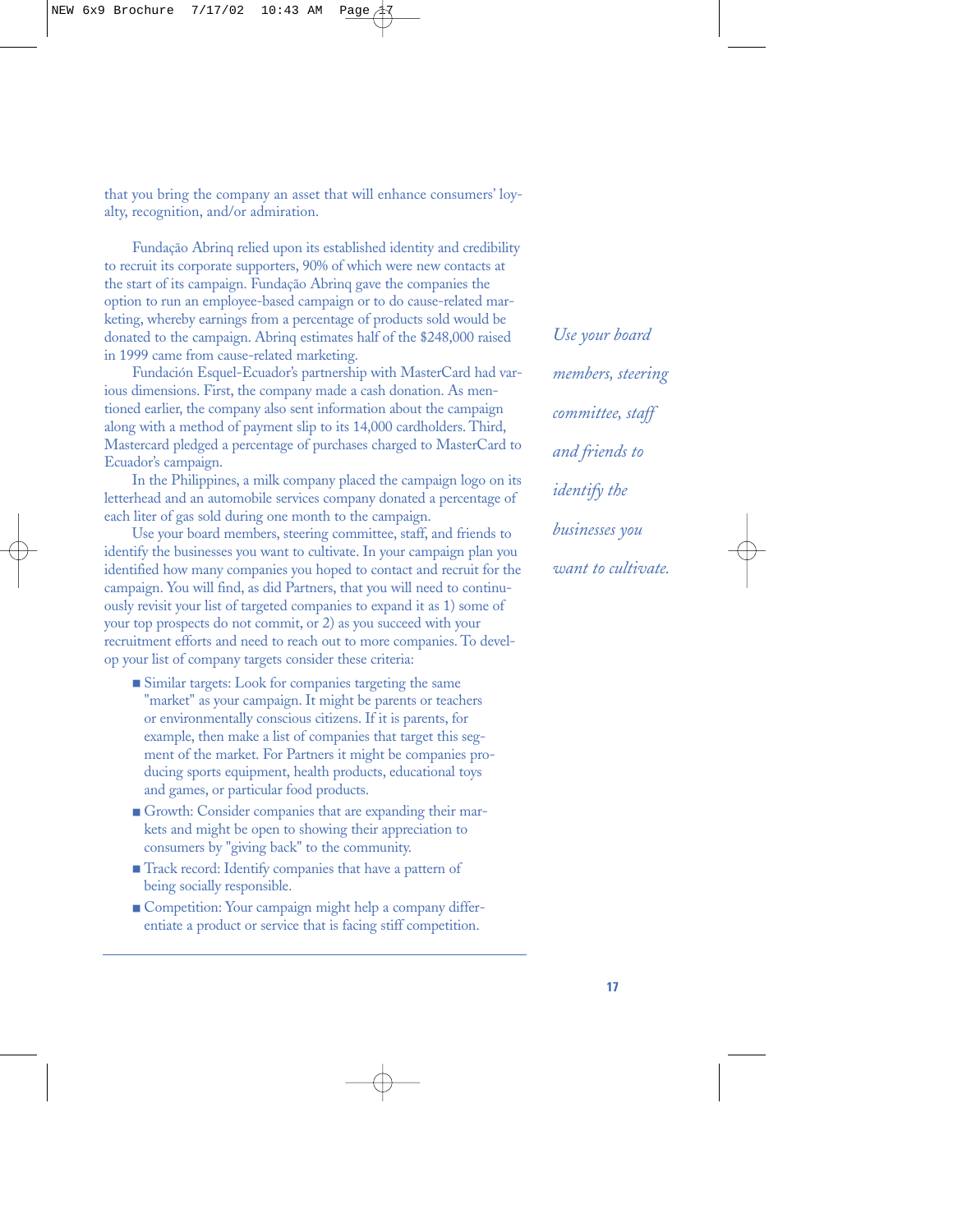that you bring the company an asset that will enhance consumers' loyalty, recognition, and/or admiration.

Fundação Abrinq relied upon its established identity and credibility to recruit its corporate supporters, 90% of which were new contacts at the start of its campaign. Fundação Abrinq gave the companies the option to run an employee-based campaign or to do cause-related marketing, whereby earnings from a percentage of products sold would be donated to the campaign. Abrinq estimates half of the \$248,000 raised in 1999 came from cause-related marketing.

Fundación Esquel-Ecuador's partnership with MasterCard had various dimensions. First, the company made a cash donation. As mentioned earlier, the company also sent information about the campaign along with a method of payment slip to its 14,000 cardholders. Third, Mastercard pledged a percentage of purchases charged to MasterCard to Ecuador's campaign.

In the Philippines, a milk company placed the campaign logo on its letterhead and an automobile services company donated a percentage of each liter of gas sold during one month to the campaign.

Use your board members, steering committee, staff, and friends to identify the businesses you want to cultivate. In your campaign plan you identified how many companies you hoped to contact and recruit for the campaign. You will find, as did Partners, that you will need to continuously revisit your list of targeted companies to expand it as 1) some of your top prospects do not commit, or 2) as you succeed with your recruitment efforts and need to reach out to more companies. To develop your list of company targets consider these criteria:

- Similar targets: Look for companies targeting the same "market" as your campaign. It might be parents or teachers or environmentally conscious citizens. If it is parents, for example, then make a list of companies that target this segment of the market. For Partners it might be companies producing sports equipment, health products, educational toys and games, or particular food products.
- Growth: Consider companies that are expanding their markets and might be open to showing their appreciation to consumers by "giving back" to the community.
- Track record: Identify companies that have a pattern of being socially responsible.
- Competition: Your campaign might help a company differentiate a product or service that is facing stiff competition.

*Use your board members, steering committee, staff and friends to identify the businesses you want to cultivate.*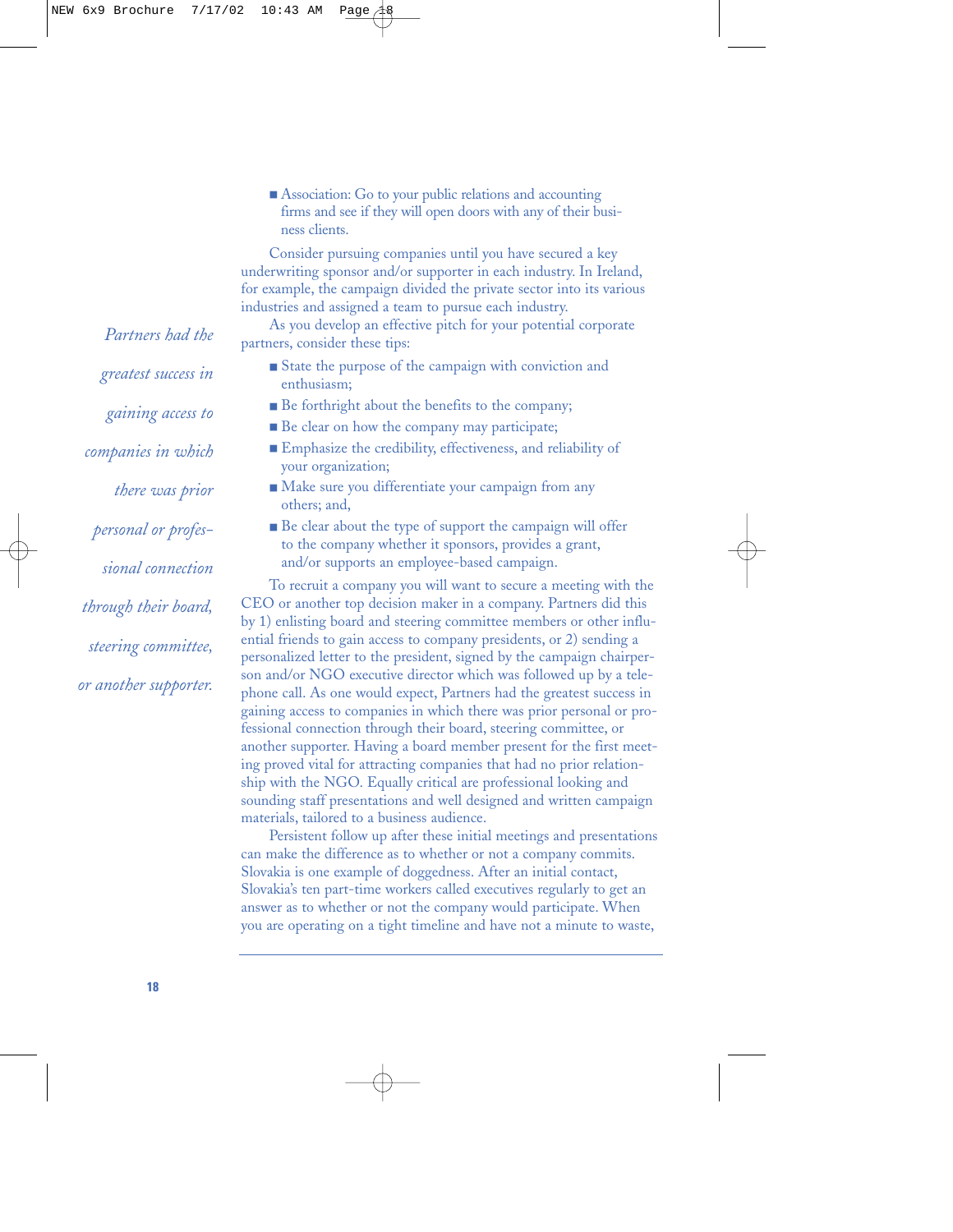■ Association: Go to your public relations and accounting firms and see if they will open doors with any of their business clients.

Consider pursuing companies until you have secured a key underwriting sponsor and/or supporter in each industry. In Ireland, for example, the campaign divided the private sector into its various industries and assigned a team to pursue each industry.

As you develop an effective pitch for your potential corporate partners, consider these tips:

- State the purpose of the campaign with conviction and enthusiasm;
- Be forthright about the benefits to the company;
- Be clear on how the company may participate;
- Emphasize the credibility, effectiveness, and reliability of your organization;
- Make sure you differentiate your campaign from any others; and,
- Be clear about the type of support the campaign will offer to the company whether it sponsors, provides a grant, and/or supports an employee-based campaign.

To recruit a company you will want to secure a meeting with the CEO or another top decision maker in a company. Partners did this by 1) enlisting board and steering committee members or other influential friends to gain access to company presidents, or 2) sending a personalized letter to the president, signed by the campaign chairperson and/or NGO executive director which was followed up by a telephone call. As one would expect, Partners had the greatest success in gaining access to companies in which there was prior personal or professional connection through their board, steering committee, or another supporter. Having a board member present for the first meeting proved vital for attracting companies that had no prior relationship with the NGO. Equally critical are professional looking and sounding staff presentations and well designed and written campaign materials, tailored to a business audience.

Persistent follow up after these initial meetings and presentations can make the difference as to whether or not a company commits. Slovakia is one example of doggedness. After an initial contact, Slovakia's ten part-time workers called executives regularly to get an answer as to whether or not the company would participate. When you are operating on a tight timeline and have not a minute to waste,

*Partners had the greatest success in gaining access to companies in which there was prior personal or professional connection through their board, steering committee, or another supporter.*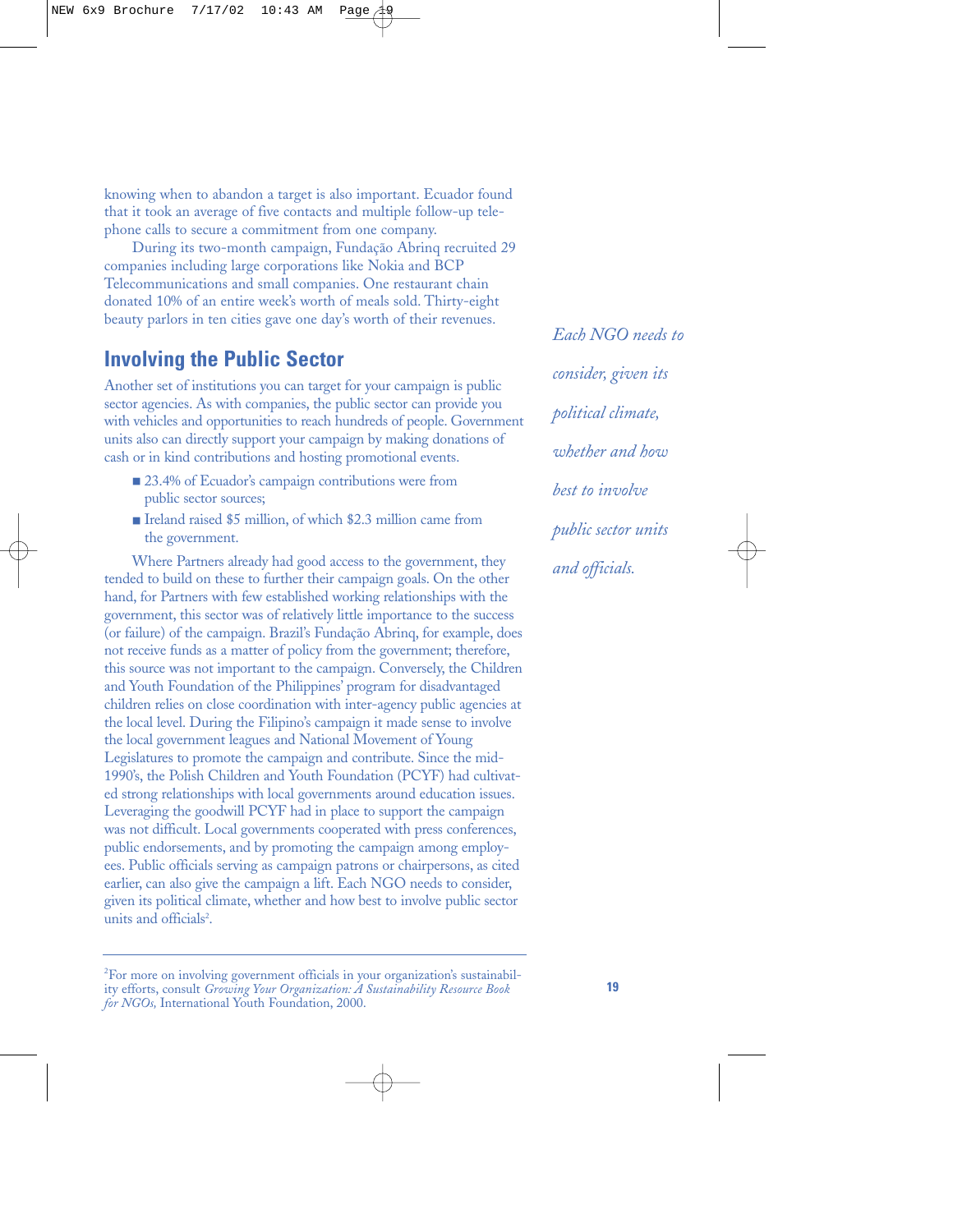knowing when to abandon a target is also important. Ecuador found that it took an average of five contacts and multiple follow-up telephone calls to secure a commitment from one company.

During its two-month campaign, Fundação Abrinq recruited 29 companies including large corporations like Nokia and BCP Telecommunications and small companies. One restaurant chain donated 10% of an entire week's worth of meals sold. Thirty-eight beauty parlors in ten cities gave one day's worth of their revenues.

### **Involving the Public Sector**

Another set of institutions you can target for your campaign is public sector agencies. As with companies, the public sector can provide you with vehicles and opportunities to reach hundreds of people. Government units also can directly support your campaign by making donations of cash or in kind contributions and hosting promotional events.

- 23.4% of Ecuador's campaign contributions were from public sector sources;
- Ireland raised \$5 million, of which \$2.3 million came from the government.

Where Partners already had good access to the government, they tended to build on these to further their campaign goals. On the other hand, for Partners with few established working relationships with the government, this sector was of relatively little importance to the success (or failure) of the campaign. Brazil's Fundação Abrinq, for example, does not receive funds as a matter of policy from the government; therefore, this source was not important to the campaign. Conversely, the Children and Youth Foundation of the Philippines' program for disadvantaged children relies on close coordination with inter-agency public agencies at the local level. During the Filipino's campaign it made sense to involve the local government leagues and National Movement of Young Legislatures to promote the campaign and contribute. Since the mid-1990's, the Polish Children and Youth Foundation (PCYF) had cultivated strong relationships with local governments around education issues. Leveraging the goodwill PCYF had in place to support the campaign was not difficult. Local governments cooperated with press conferences, public endorsements, and by promoting the campaign among employees. Public officials serving as campaign patrons or chairpersons, as cited earlier, can also give the campaign a lift. Each NGO needs to consider, given its political climate, whether and how best to involve public sector units and officials<sup>2</sup>.

*Each NGO needs to consider, given its political climate, whether and how best to involve public sector units and officials.*

<sup>&</sup>lt;sup>2</sup>For more on involving government officials in your organization's sustainability efforts, consult *Growing Your Organization: A Sustainability Resource Book for NGOs,* International Youth Foundation, 2000.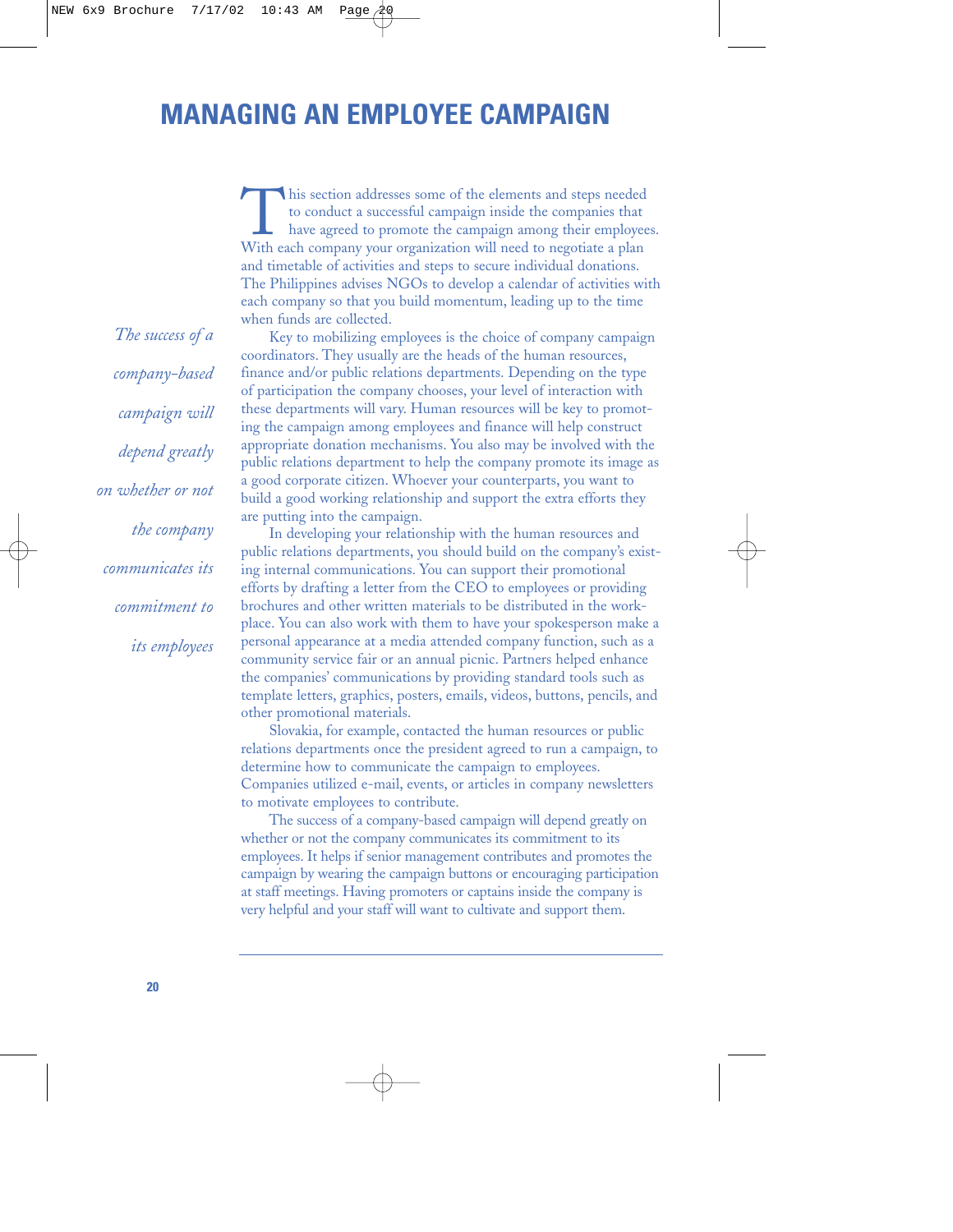# **MANAGING AN EMPLOYEE CAMPAIGN**

This section addresses some of the elements and steps needed to conduct a successful campaign inside the companies that have agreed to promote the campaign among their employee With each company your organization will need to conduct a successful campaign inside the companies that have agreed to promote the campaign among their employees. and timetable of activities and steps to secure individual donations. The Philippines advises NGOs to develop a calendar of activities with each company so that you build momentum, leading up to the time when funds are collected.

Key to mobilizing employees is the choice of company campaign coordinators. They usually are the heads of the human resources, finance and/or public relations departments. Depending on the type of participation the company chooses, your level of interaction with these departments will vary. Human resources will be key to promoting the campaign among employees and finance will help construct appropriate donation mechanisms. You also may be involved with the public relations department to help the company promote its image as a good corporate citizen. Whoever your counterparts, you want to build a good working relationship and support the extra efforts they are putting into the campaign.

In developing your relationship with the human resources and public relations departments, you should build on the company's existing internal communications. You can support their promotional efforts by drafting a letter from the CEO to employees or providing brochures and other written materials to be distributed in the workplace. You can also work with them to have your spokesperson make a personal appearance at a media attended company function, such as a community service fair or an annual picnic. Partners helped enhance the companies' communications by providing standard tools such as template letters, graphics, posters, emails, videos, buttons, pencils, and other promotional materials.

Slovakia, for example, contacted the human resources or public relations departments once the president agreed to run a campaign, to determine how to communicate the campaign to employees. Companies utilized e-mail, events, or articles in company newsletters to motivate employees to contribute.

The success of a company-based campaign will depend greatly on whether or not the company communicates its commitment to its employees. It helps if senior management contributes and promotes the campaign by wearing the campaign buttons or encouraging participation at staff meetings. Having promoters or captains inside the company is very helpful and your staff will want to cultivate and support them.

*The success of a company-based campaign will depend greatly on whether or not the company communicates its commitment to its employees*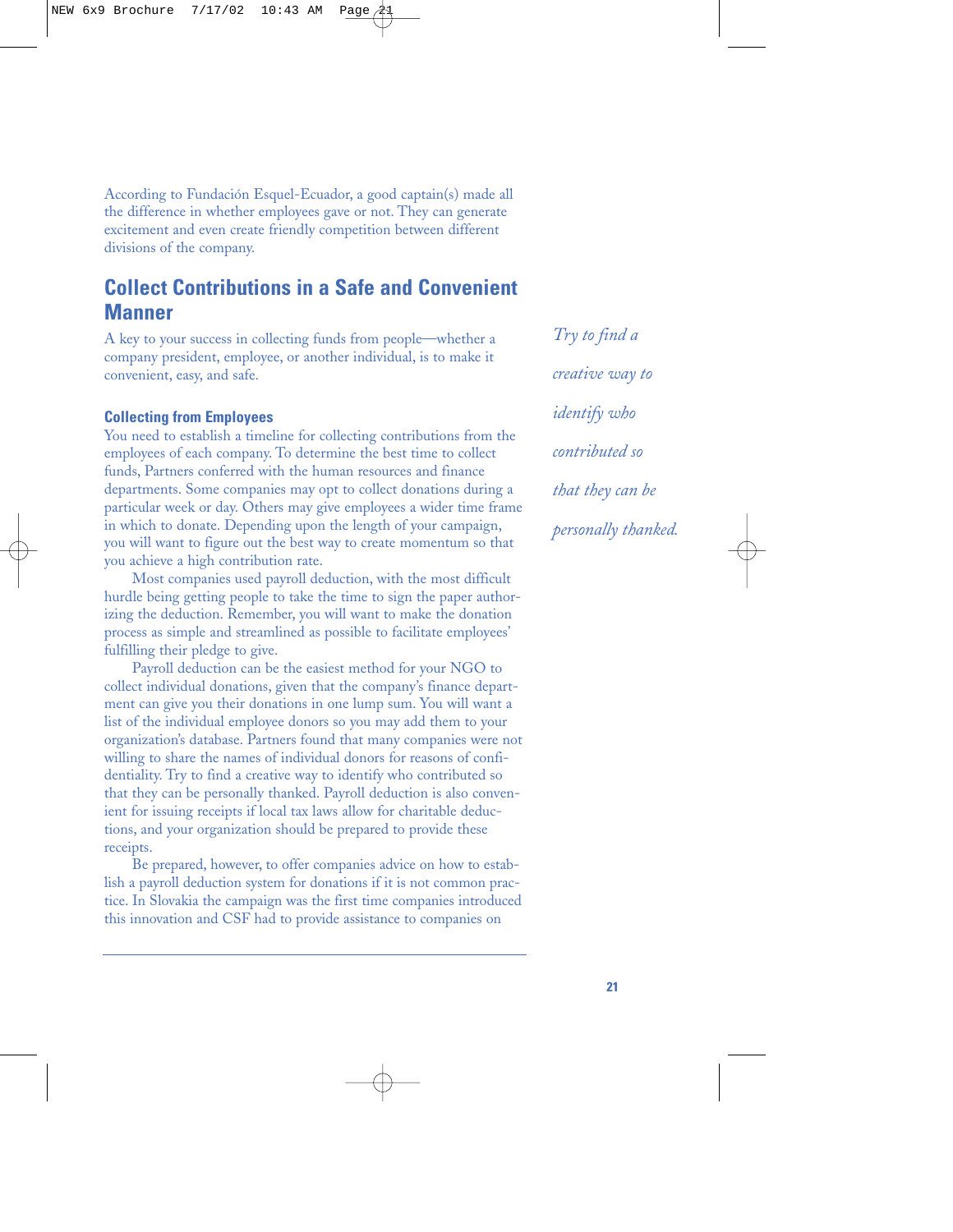According to Fundación Esquel-Ecuador, a good captain(s) made all the difference in whether employees gave or not. They can generate excitement and even create friendly competition between different divisions of the company.

# **Collect Contributions in a Safe and Convenient Manner**

A key to your success in collecting funds from people—whether a company president, employee, or another individual, is to make it convenient, easy, and safe.

#### **Collecting from Employees**

You need to establish a timeline for collecting contributions from the employees of each company. To determine the best time to collect funds, Partners conferred with the human resources and finance departments. Some companies may opt to collect donations during a particular week or day. Others may give employees a wider time frame in which to donate. Depending upon the length of your campaign, you will want to figure out the best way to create momentum so that you achieve a high contribution rate.

Most companies used payroll deduction, with the most difficult hurdle being getting people to take the time to sign the paper authorizing the deduction. Remember, you will want to make the donation process as simple and streamlined as possible to facilitate employees' fulfilling their pledge to give.

Payroll deduction can be the easiest method for your NGO to collect individual donations, given that the company's finance department can give you their donations in one lump sum. You will want a list of the individual employee donors so you may add them to your organization's database. Partners found that many companies were not willing to share the names of individual donors for reasons of confidentiality. Try to find a creative way to identify who contributed so that they can be personally thanked. Payroll deduction is also convenient for issuing receipts if local tax laws allow for charitable deductions, and your organization should be prepared to provide these receipts.

Be prepared, however, to offer companies advice on how to establish a payroll deduction system for donations if it is not common practice. In Slovakia the campaign was the first time companies introduced this innovation and CSF had to provide assistance to companies on

*Try to find a creative way to identify who contributed so that they can be personally thanked.*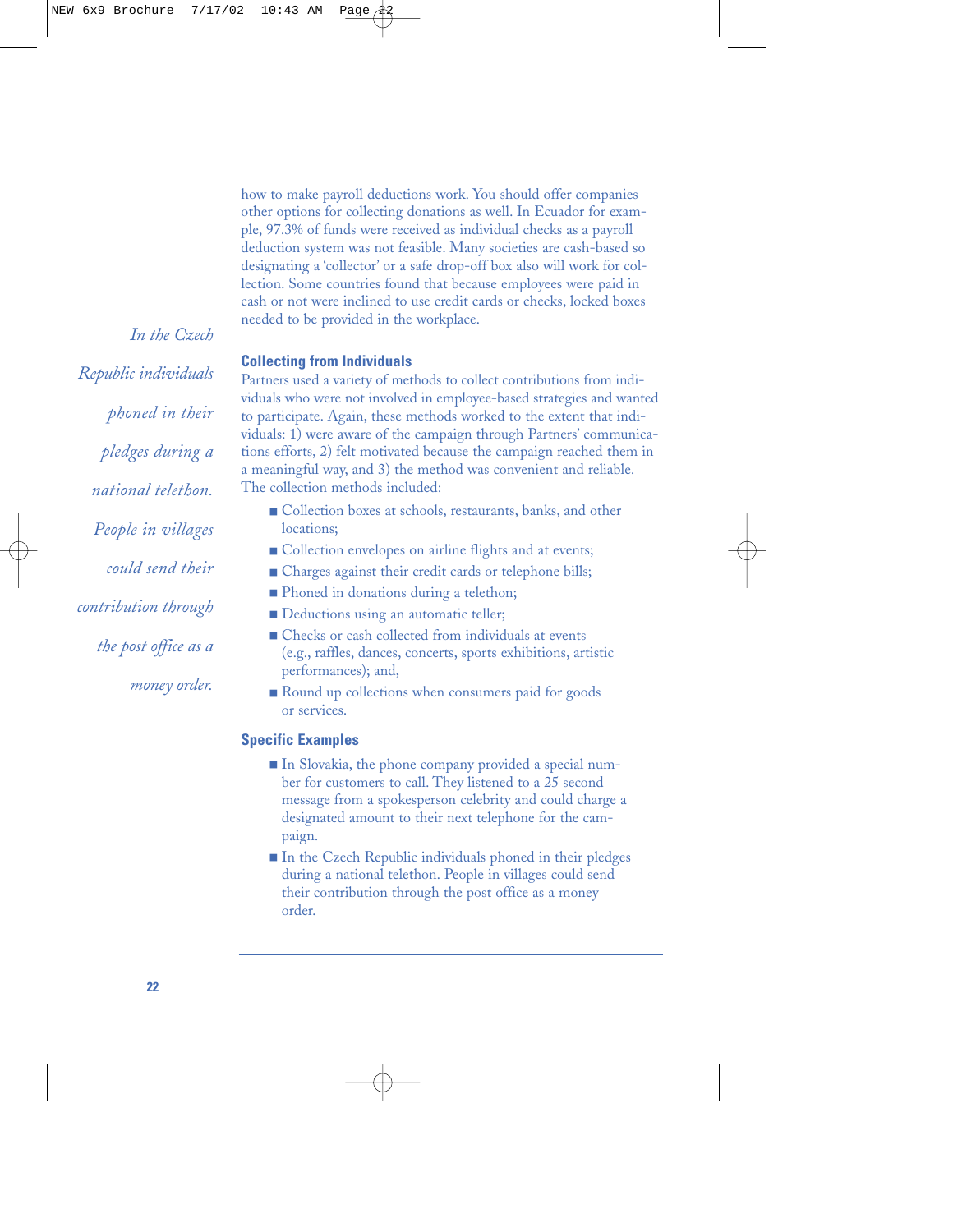how to make payroll deductions work. You should offer companies other options for collecting donations as well. In Ecuador for example, 97.3% of funds were received as individual checks as a payroll deduction system was not feasible. Many societies are cash-based so designating a 'collector' or a safe drop-off box also will work for collection. Some countries found that because employees were paid in cash or not were inclined to use credit cards or checks, locked boxes needed to be provided in the workplace.

#### **Collecting from Individuals**

Partners used a variety of methods to collect contributions from individuals who were not involved in employee-based strategies and wanted to participate. Again, these methods worked to the extent that individuals: 1) were aware of the campaign through Partners' communications efforts, 2) felt motivated because the campaign reached them in a meaningful way, and 3) the method was convenient and reliable. The collection methods included:

- Collection boxes at schools, restaurants, banks, and other locations;
- Collection envelopes on airline flights and at events;
- Charges against their credit cards or telephone bills;
- Phoned in donations during a telethon;
- Deductions using an automatic teller;
- Checks or cash collected from individuals at events (e.g., raffles, dances, concerts, sports exhibitions, artistic performances); and,
- Round up collections when consumers paid for goods or services.

#### **Specific Examples**

- In Slovakia, the phone company provided a special number for customers to call. They listened to a 25 second message from a spokesperson celebrity and could charge a designated amount to their next telephone for the campaign.
- In the Czech Republic individuals phoned in their pledges during a national telethon. People in villages could send their contribution through the post office as a money order.

*Republic individuals phoned in their pledges during a national telethon. People in villages could send their contribution through the post office as a money order.*

*In the Czech*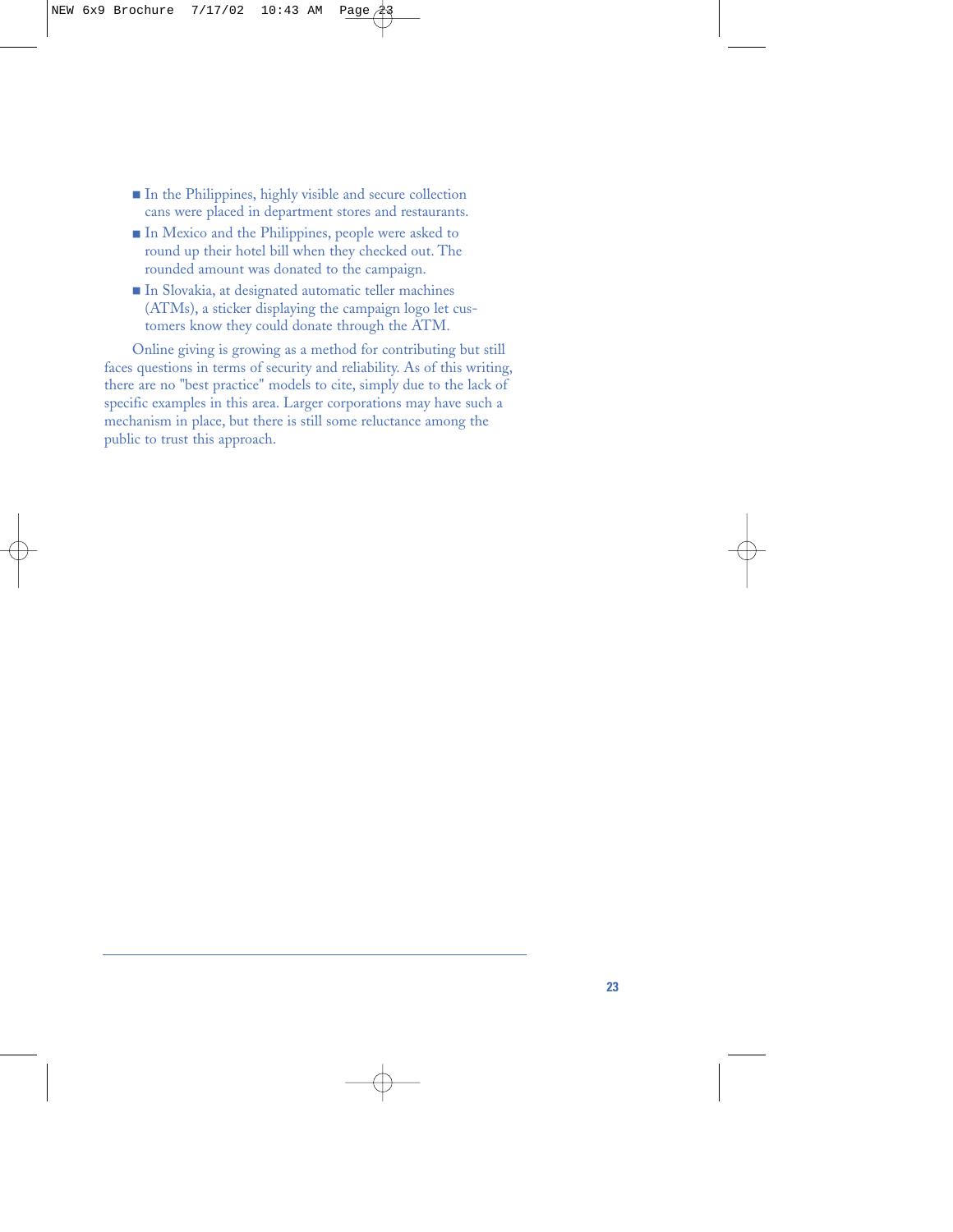- In the Philippines, highly visible and secure collection cans were placed in department stores and restaurants.
- In Mexico and the Philippines, people were asked to round up their hotel bill when they checked out. The rounded amount was donated to the campaign.
- In Slovakia, at designated automatic teller machines (ATMs), a sticker displaying the campaign logo let customers know they could donate through the ATM.

Online giving is growing as a method for contributing but still faces questions in terms of security and reliability. As of this writing, there are no "best practice" models to cite, simply due to the lack of specific examples in this area. Larger corporations may have such a mechanism in place, but there is still some reluctance among the public to trust this approach.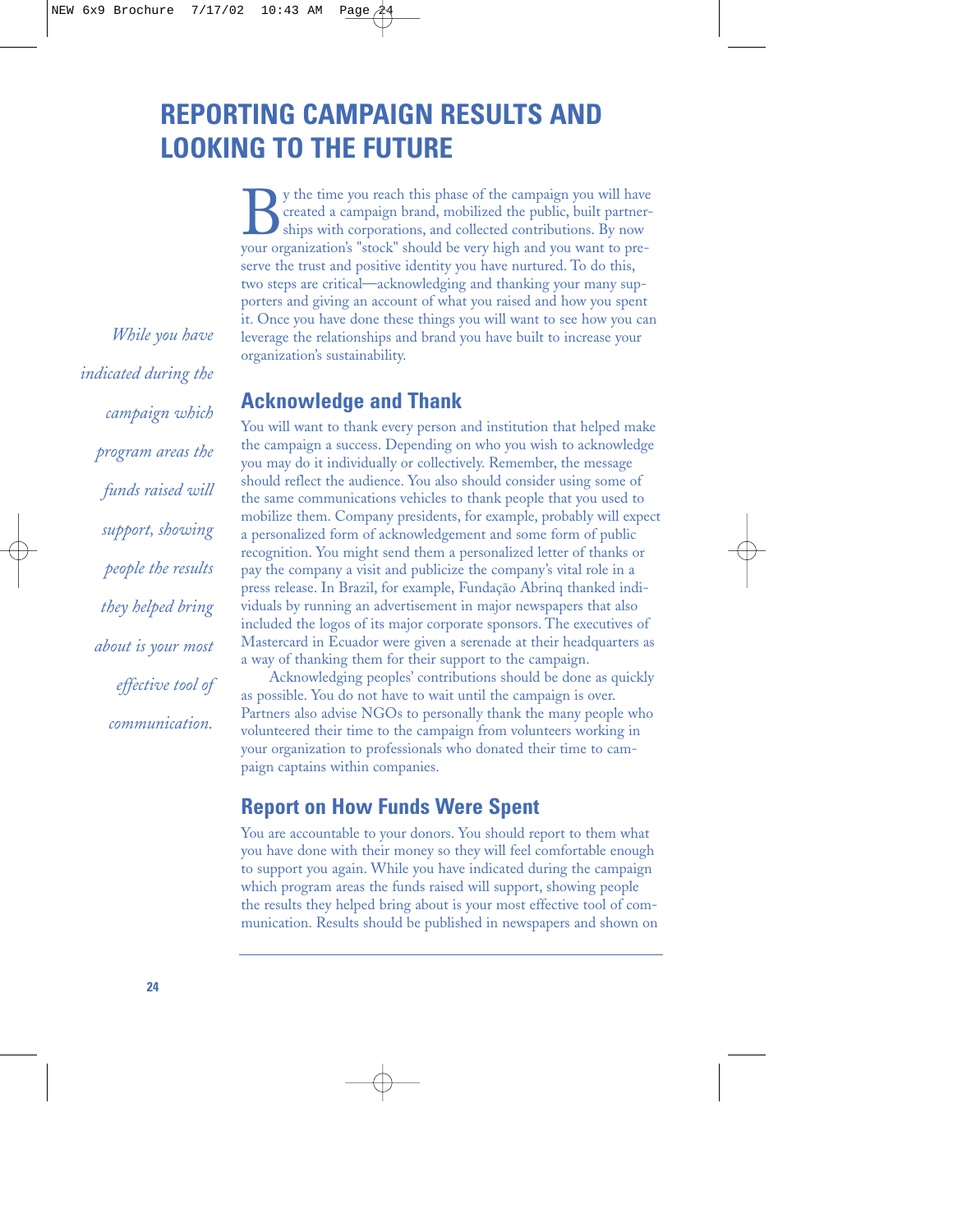# **REPORTING CAMPAIGN RESULTS AND LOOKING TO THE FUTURE**

By the time you reach this phase of the campaign you will have<br>created a campaign brand, mobilized the public, built partner-<br>ships with corporations, and collected contributions. By now<br>your organization's "stock" should created a campaign brand, mobilized the public, built partnerships with corporations, and collected contributions. By now your organization's "stock" should be very high and you want to preserve the trust and positive identity you have nurtured. To do this, two steps are critical—acknowledging and thanking your many supporters and giving an account of what you raised and how you spent it. Once you have done these things you will want to see how you can leverage the relationships and brand you have built to increase your organization's sustainability.

### **Acknowledge and Thank**

You will want to thank every person and institution that helped make the campaign a success. Depending on who you wish to acknowledge you may do it individually or collectively. Remember, the message should reflect the audience. You also should consider using some of the same communications vehicles to thank people that you used to mobilize them. Company presidents, for example, probably will expect a personalized form of acknowledgement and some form of public recognition. You might send them a personalized letter of thanks or pay the company a visit and publicize the company's vital role in a press release. In Brazil, for example, Fundação Abrinq thanked individuals by running an advertisement in major newspapers that also included the logos of its major corporate sponsors. The executives of Mastercard in Ecuador were given a serenade at their headquarters as a way of thanking them for their support to the campaign.

Acknowledging peoples' contributions should be done as quickly as possible. You do not have to wait until the campaign is over. Partners also advise NGOs to personally thank the many people who volunteered their time to the campaign from volunteers working in your organization to professionals who donated their time to campaign captains within companies.

## **Report on How Funds Were Spent**

You are accountable to your donors. You should report to them what you have done with their money so they will feel comfortable enough to support you again. While you have indicated during the campaign which program areas the funds raised will support, showing people the results they helped bring about is your most effective tool of communication. Results should be published in newspapers and shown on

*While you have indicated during the campaign which program areas the funds raised will support, showing people the results they helped bring about is your most effective tool of communication.*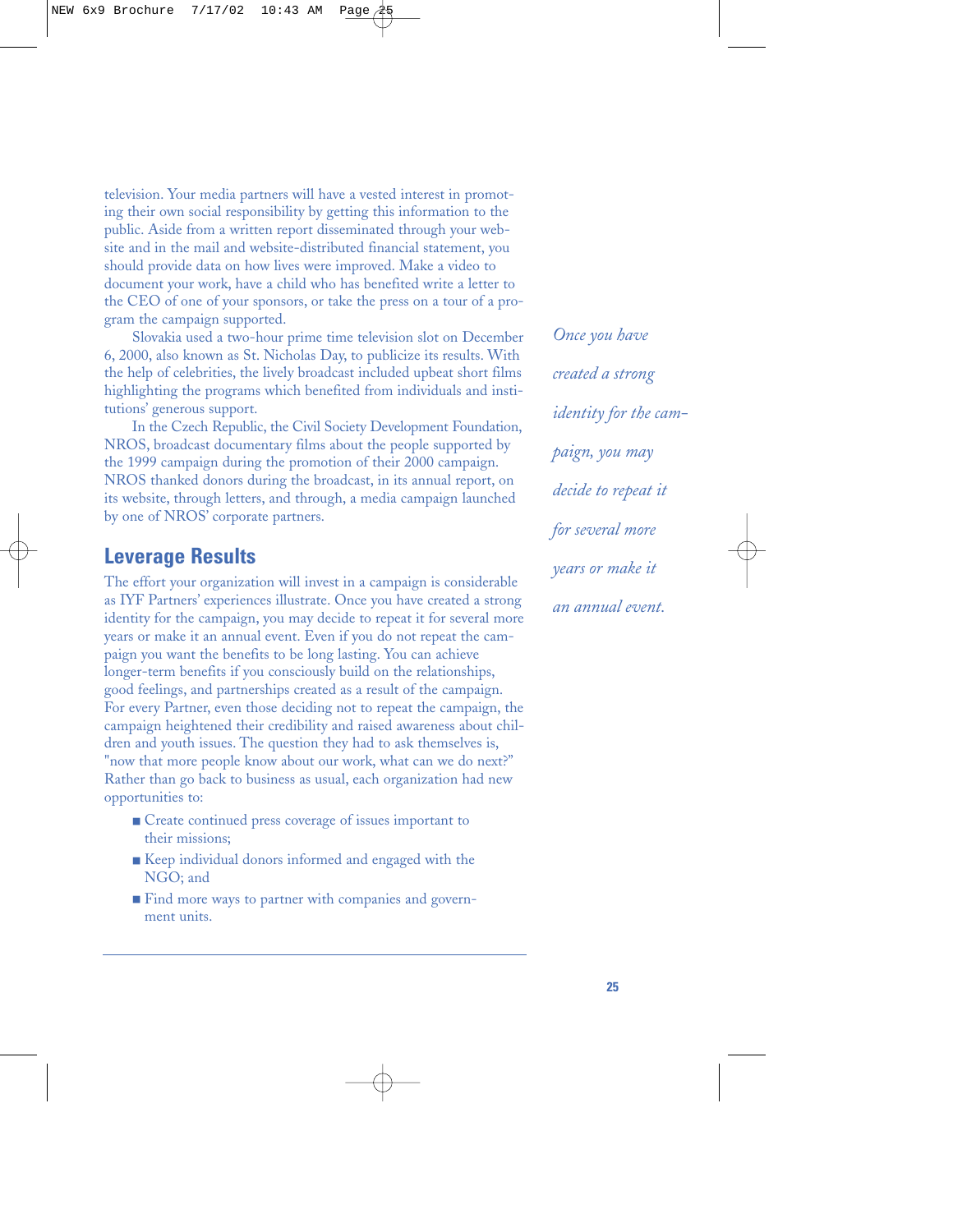television. Your media partners will have a vested interest in promoting their own social responsibility by getting this information to the public. Aside from a written report disseminated through your website and in the mail and website-distributed financial statement, you should provide data on how lives were improved. Make a video to document your work, have a child who has benefited write a letter to the CEO of one of your sponsors, or take the press on a tour of a program the campaign supported.

Slovakia used a two-hour prime time television slot on December 6, 2000, also known as St. Nicholas Day, to publicize its results. With the help of celebrities, the lively broadcast included upbeat short films highlighting the programs which benefited from individuals and institutions' generous support.

In the Czech Republic, the Civil Society Development Foundation, NROS, broadcast documentary films about the people supported by the 1999 campaign during the promotion of their 2000 campaign. NROS thanked donors during the broadcast, in its annual report, on its website, through letters, and through, a media campaign launched by one of NROS' corporate partners.

### **Leverage Results**

The effort your organization will invest in a campaign is considerable as IYF Partners' experiences illustrate. Once you have created a strong identity for the campaign, you may decide to repeat it for several more years or make it an annual event. Even if you do not repeat the campaign you want the benefits to be long lasting. You can achieve longer-term benefits if you consciously build on the relationships, good feelings, and partnerships created as a result of the campaign. For every Partner, even those deciding not to repeat the campaign, the campaign heightened their credibility and raised awareness about children and youth issues. The question they had to ask themselves is, "now that more people know about our work, what can we do next?" Rather than go back to business as usual, each organization had new opportunities to:

- Create continued press coverage of issues important to their missions;
- Keep individual donors informed and engaged with the NGO; and
- Find more ways to partner with companies and government units.

*Once you have created a strong identity for the campaign, you may decide to repeat it for several more years or make it an annual event.*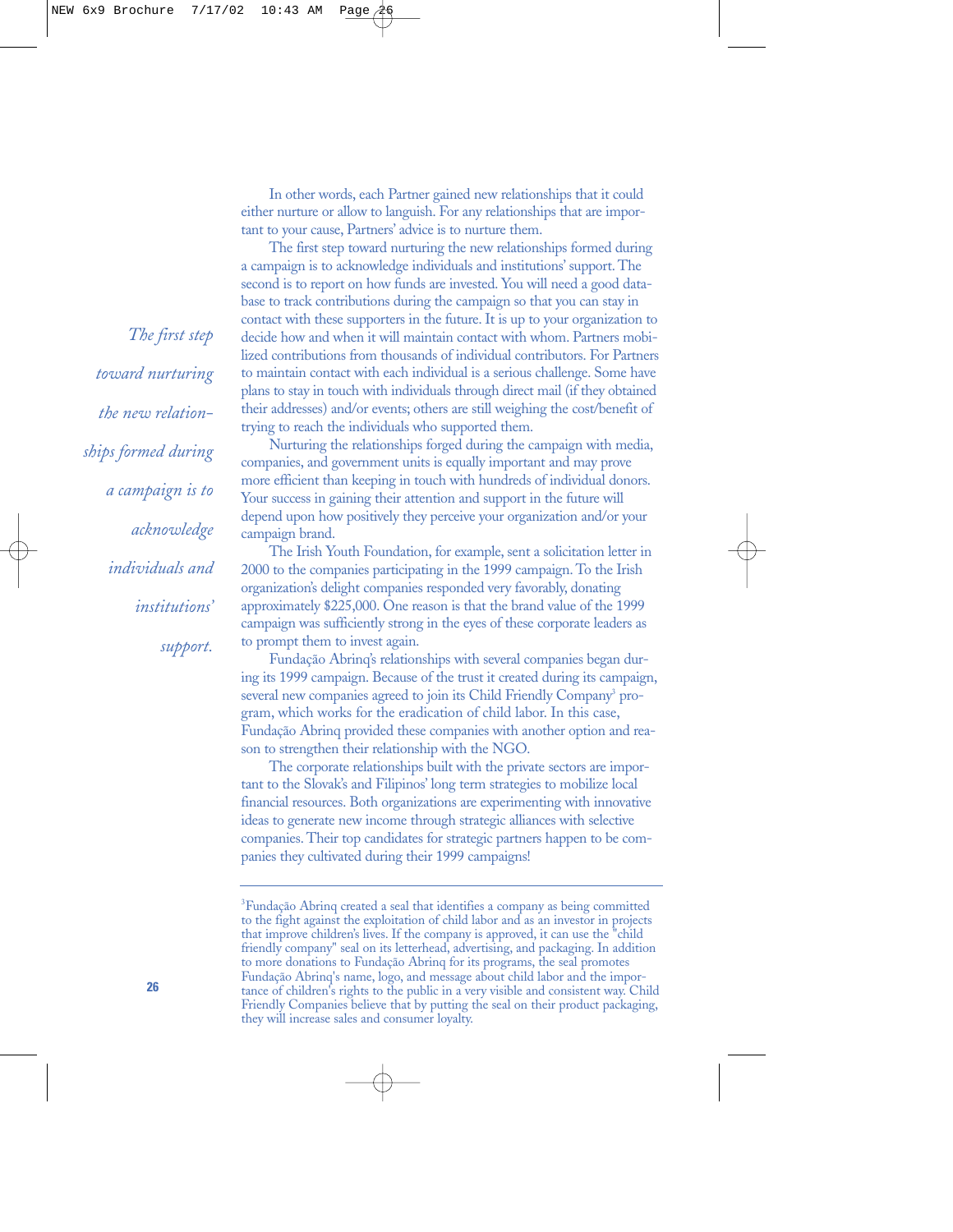In other words, each Partner gained new relationships that it could either nurture or allow to languish. For any relationships that are important to your cause, Partners' advice is to nurture them.

The first step toward nurturing the new relationships formed during a campaign is to acknowledge individuals and institutions' support. The second is to report on how funds are invested. You will need a good database to track contributions during the campaign so that you can stay in contact with these supporters in the future. It is up to your organization to decide how and when it will maintain contact with whom. Partners mobilized contributions from thousands of individual contributors. For Partners to maintain contact with each individual is a serious challenge. Some have plans to stay in touch with individuals through direct mail (if they obtained their addresses) and/or events; others are still weighing the cost/benefit of trying to reach the individuals who supported them.

Nurturing the relationships forged during the campaign with media, companies, and government units is equally important and may prove more efficient than keeping in touch with hundreds of individual donors. Your success in gaining their attention and support in the future will depend upon how positively they perceive your organization and/or your campaign brand.

The Irish Youth Foundation, for example, sent a solicitation letter in 2000 to the companies participating in the 1999 campaign. To the Irish organization's delight companies responded very favorably, donating approximately \$225,000. One reason is that the brand value of the 1999 campaign was sufficiently strong in the eyes of these corporate leaders as to prompt them to invest again.

Fundação Abrinq's relationships with several companies began during its 1999 campaign. Because of the trust it created during its campaign, several new companies agreed to join its Child Friendly Company<sup>3</sup> program, which works for the eradication of child labor. In this case, Fundação Abrinq provided these companies with another option and reason to strengthen their relationship with the NGO.

The corporate relationships built with the private sectors are important to the Slovak's and Filipinos' long term strategies to mobilize local financial resources. Both organizations are experimenting with innovative ideas to generate new income through strategic alliances with selective companies. Their top candidates for strategic partners happen to be companies they cultivated during their 1999 campaigns!

*The first step toward nurturing the new relationships formed during a campaign is to acknowledge individuals and institutions' support.*

<sup>&</sup>lt;sup>3</sup>Fundação Abrinq created a seal that identifies a company as being committed to the fight against the exploitation of child labor and as an investor in projects that improve children's lives. If the company is approved, it can use the "child friendly company" seal on its letterhead, advertising, and packaging. In addition to more donations to Fundação Abrinq for its programs, the seal promotes Fundação Abrinq's name, logo, and message about child labor and the importance of children's rights to the public in a very visible and consistent way. Child Friendly Companies believe that by putting the seal on their product packaging, they will increase sales and consumer loyalty.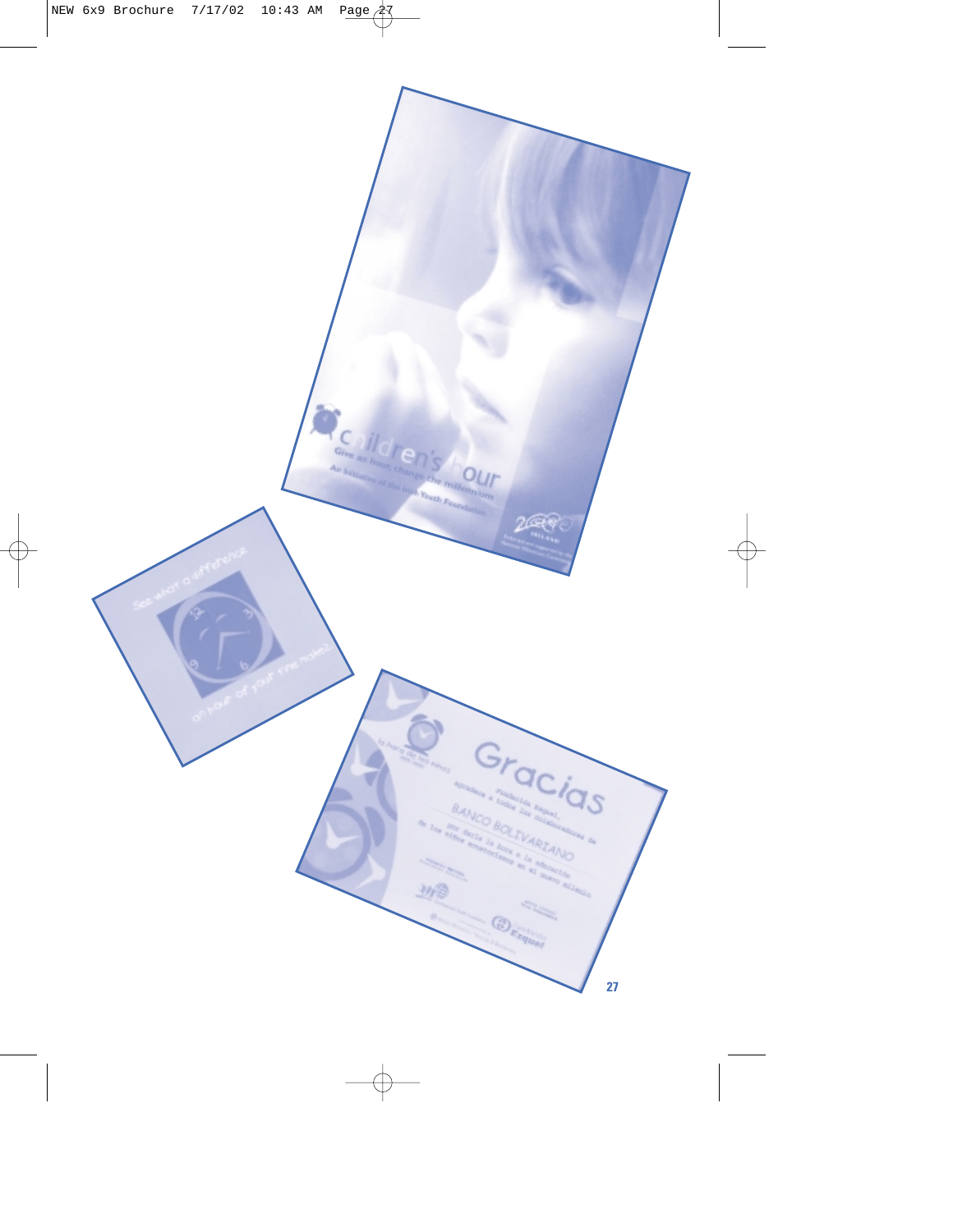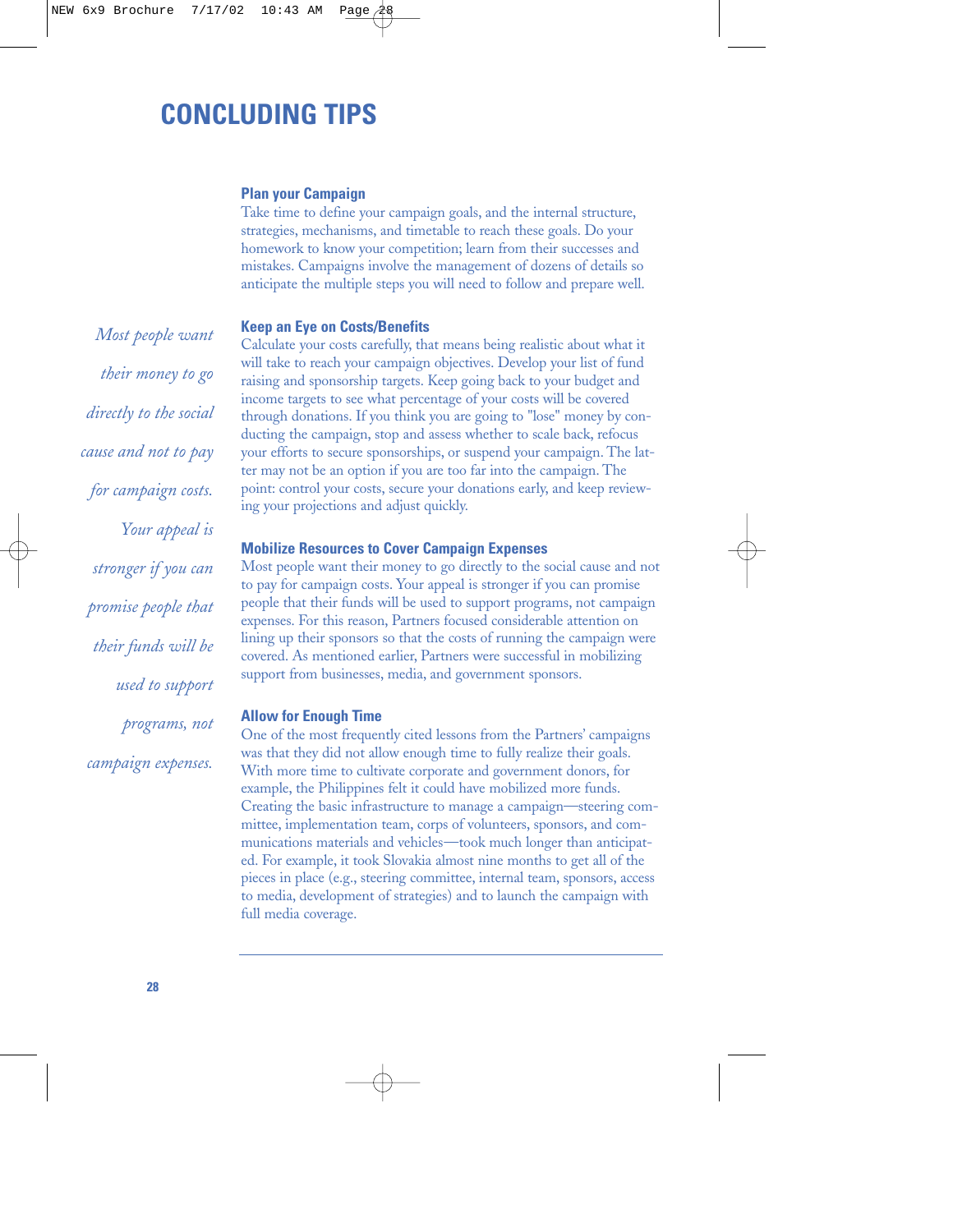# **CONCLUDING TIPS**

#### **Plan your Campaign**

Take time to define your campaign goals, and the internal structure, strategies, mechanisms, and timetable to reach these goals. Do your homework to know your competition; learn from their successes and mistakes. Campaigns involve the management of dozens of details so anticipate the multiple steps you will need to follow and prepare well.

#### **Keep an Eye on Costs/Benefits**

Calculate your costs carefully, that means being realistic about what it will take to reach your campaign objectives. Develop your list of fund raising and sponsorship targets. Keep going back to your budget and income targets to see what percentage of your costs will be covered through donations. If you think you are going to "lose" money by conducting the campaign, stop and assess whether to scale back, refocus your efforts to secure sponsorships, or suspend your campaign. The latter may not be an option if you are too far into the campaign. The point: control your costs, secure your donations early, and keep reviewing your projections and adjust quickly.

#### **Mobilize Resources to Cover Campaign Expenses**

Most people want their money to go directly to the social cause and not to pay for campaign costs. Your appeal is stronger if you can promise people that their funds will be used to support programs, not campaign expenses. For this reason, Partners focused considerable attention on lining up their sponsors so that the costs of running the campaign were covered. As mentioned earlier, Partners were successful in mobilizing support from businesses, media, and government sponsors.

#### **Allow for Enough Time**

One of the most frequently cited lessons from the Partners' campaigns was that they did not allow enough time to fully realize their goals. With more time to cultivate corporate and government donors, for example, the Philippines felt it could have mobilized more funds. Creating the basic infrastructure to manage a campaign—steering committee, implementation team, corps of volunteers, sponsors, and communications materials and vehicles—took much longer than anticipated. For example, it took Slovakia almost nine months to get all of the pieces in place (e.g., steering committee, internal team, sponsors, access to media, development of strategies) and to launch the campaign with full media coverage.

*Most people want their money to go directly to the social cause and not to pay for campaign costs. Your appeal is stronger if you can promise people that their funds will be used to support programs, not campaign expenses.*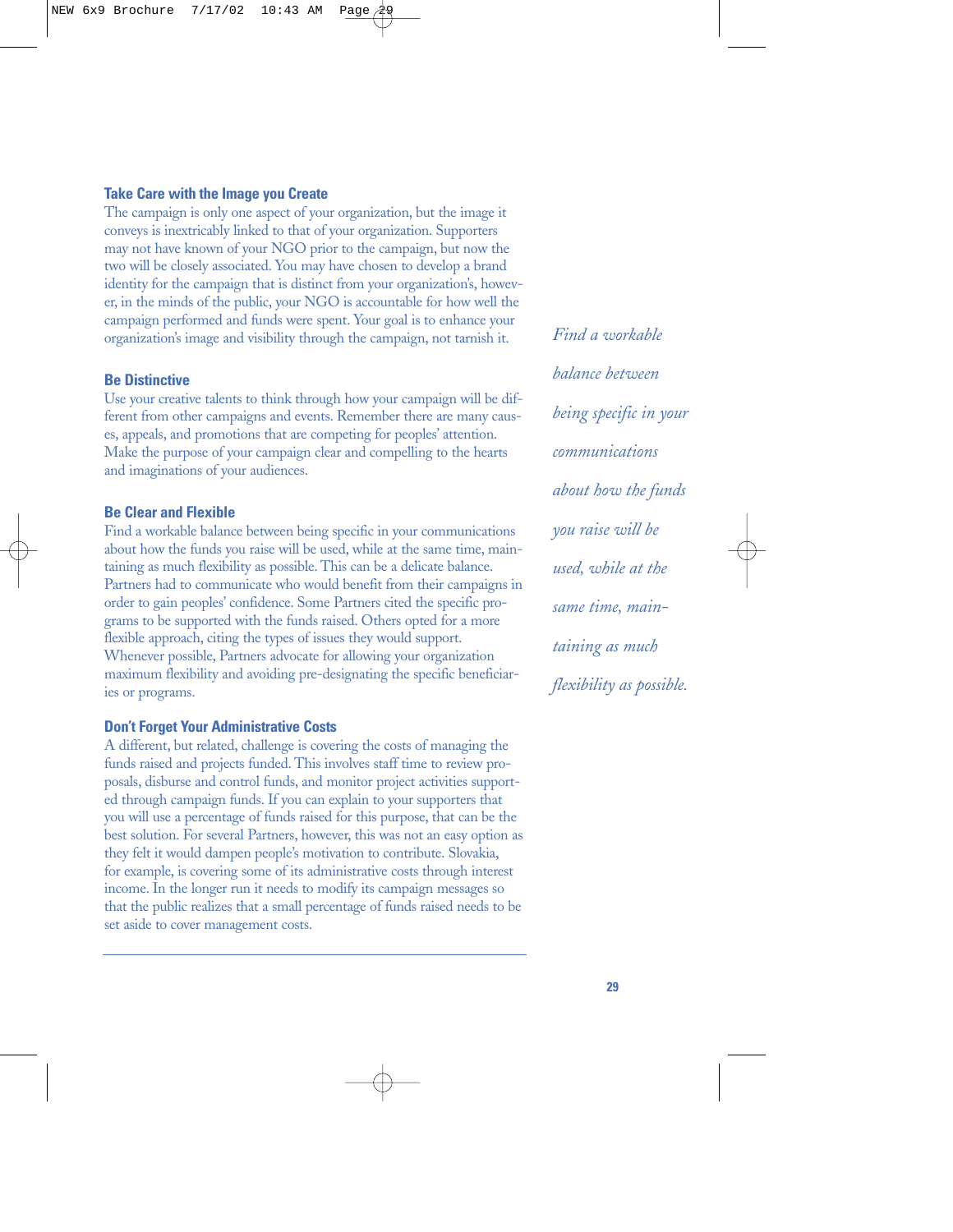#### **Take Care with the Image you Create**

The campaign is only one aspect of your organization, but the image it conveys is inextricably linked to that of your organization. Supporters may not have known of your NGO prior to the campaign, but now the two will be closely associated. You may have chosen to develop a brand identity for the campaign that is distinct from your organization's, however, in the minds of the public, your NGO is accountable for how well the campaign performed and funds were spent. Your goal is to enhance your organization's image and visibility through the campaign, not tarnish it.

#### **Be Distinctive**

Use your creative talents to think through how your campaign will be different from other campaigns and events. Remember there are many causes, appeals, and promotions that are competing for peoples' attention. Make the purpose of your campaign clear and compelling to the hearts and imaginations of your audiences.

#### **Be Clear and Flexible**

Find a workable balance between being specific in your communications about how the funds you raise will be used, while at the same time, maintaining as much flexibility as possible. This can be a delicate balance. Partners had to communicate who would benefit from their campaigns in order to gain peoples' confidence. Some Partners cited the specific programs to be supported with the funds raised. Others opted for a more flexible approach, citing the types of issues they would support. Whenever possible, Partners advocate for allowing your organization maximum flexibility and avoiding pre-designating the specific beneficiaries or programs.

#### **Don't Forget Your Administrative Costs**

A different, but related, challenge is covering the costs of managing the funds raised and projects funded. This involves staff time to review proposals, disburse and control funds, and monitor project activities supported through campaign funds. If you can explain to your supporters that you will use a percentage of funds raised for this purpose, that can be the best solution. For several Partners, however, this was not an easy option as they felt it would dampen people's motivation to contribute. Slovakia, for example, is covering some of its administrative costs through interest income. In the longer run it needs to modify its campaign messages so that the public realizes that a small percentage of funds raised needs to be set aside to cover management costs.

*Find a workable balance between being specific in your communications about how the funds you raise will be used, while at the same time, maintaining as much flexibility as possible.*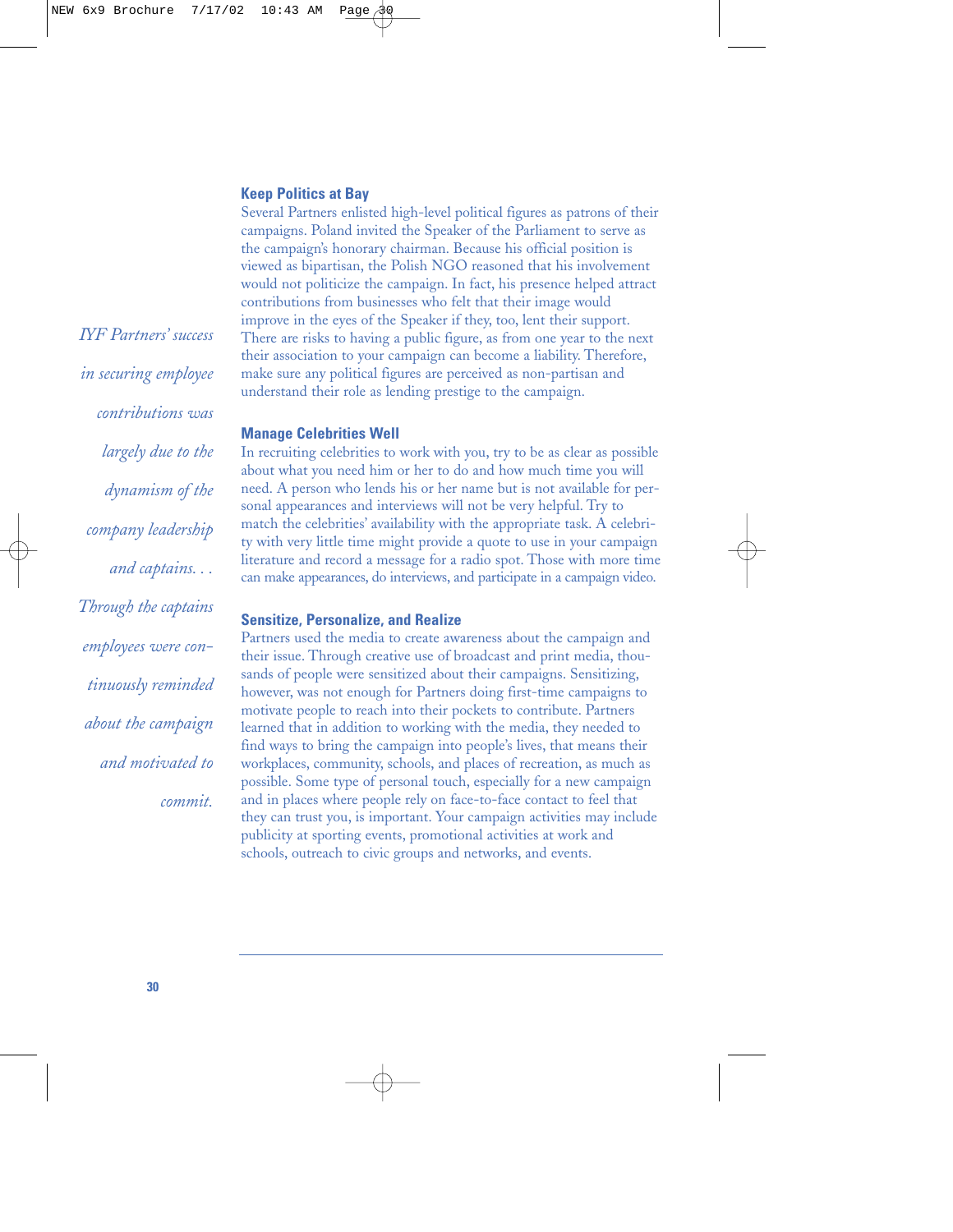#### **Keep Politics at Bay**

Several Partners enlisted high-level political figures as patrons of their campaigns. Poland invited the Speaker of the Parliament to serve as the campaign's honorary chairman. Because his official position is viewed as bipartisan, the Polish NGO reasoned that his involvement would not politicize the campaign. In fact, his presence helped attract contributions from businesses who felt that their image would improve in the eyes of the Speaker if they, too, lent their support. There are risks to having a public figure, as from one year to the next their association to your campaign can become a liability. Therefore, make sure any political figures are perceived as non-partisan and understand their role as lending prestige to the campaign.

#### **Manage Celebrities Well**

In recruiting celebrities to work with you, try to be as clear as possible about what you need him or her to do and how much time you will need. A person who lends his or her name but is not available for personal appearances and interviews will not be very helpful. Try to match the celebrities' availability with the appropriate task. A celebrity with very little time might provide a quote to use in your campaign literature and record a message for a radio spot. Those with more time can make appearances, do interviews, and participate in a campaign video.

#### **Sensitize, Personalize, and Realize**

Partners used the media to create awareness about the campaign and their issue. Through creative use of broadcast and print media, thousands of people were sensitized about their campaigns. Sensitizing, however, was not enough for Partners doing first-time campaigns to motivate people to reach into their pockets to contribute. Partners learned that in addition to working with the media, they needed to find ways to bring the campaign into people's lives, that means their workplaces, community, schools, and places of recreation, as much as possible. Some type of personal touch, especially for a new campaign and in places where people rely on face-to-face contact to feel that they can trust you, is important. Your campaign activities may include publicity at sporting events, promotional activities at work and schools, outreach to civic groups and networks, and events.

*IYF Partners' success in securing employee contributions was largely due to the dynamism of the company leadership and captains. . . Through the captains employees were continuously reminded about the campaign and motivated to commit.*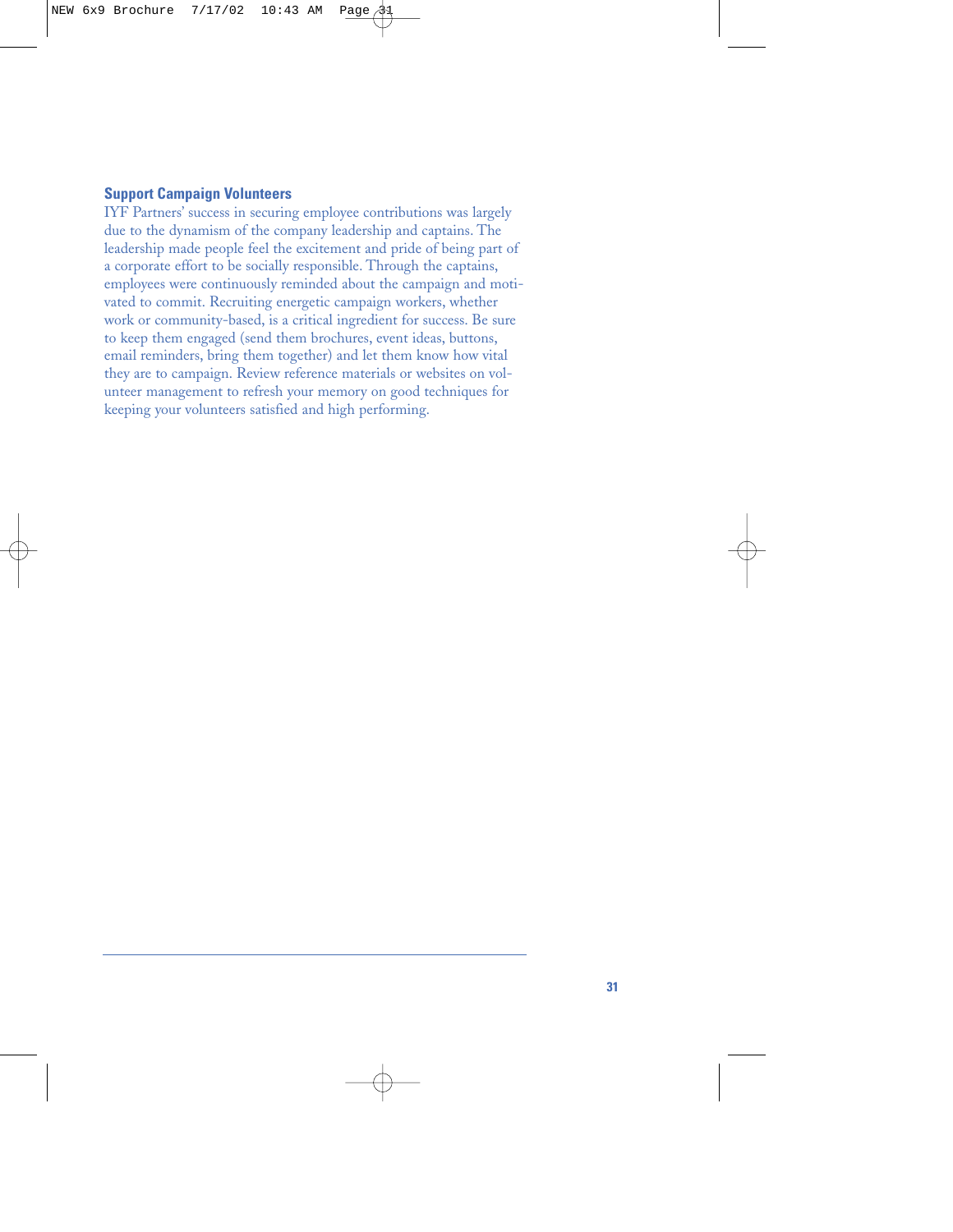#### **Support Campaign Volunteers**

IYF Partners' success in securing employee contributions was largely due to the dynamism of the company leadership and captains. The leadership made people feel the excitement and pride of being part of a corporate effort to be socially responsible. Through the captains, employees were continuously reminded about the campaign and motivated to commit. Recruiting energetic campaign workers, whether work or community-based, is a critical ingredient for success. Be sure to keep them engaged (send them brochures, event ideas, buttons, email reminders, bring them together) and let them know how vital they are to campaign. Review reference materials or websites on volunteer management to refresh your memory on good techniques for keeping your volunteers satisfied and high performing.